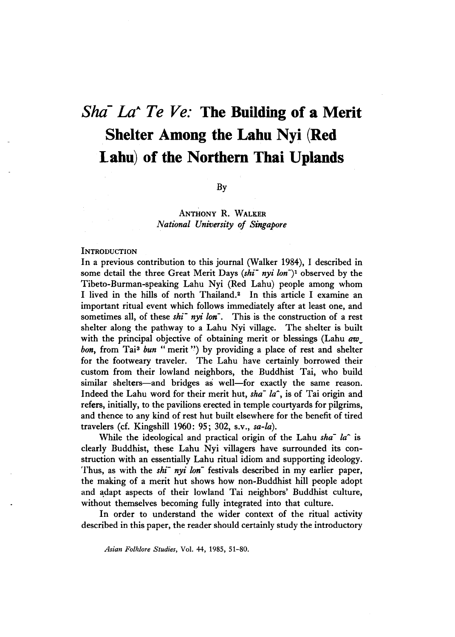# *Shcf Let Te Ve:* **The Building of a Merit Shelter Among the Lahu Nyi (Red Lahu) of the Northern Thai Uplands**

By

# ANTHONY R. WALKER *National University of Singapore*

## INTRODUCTION

In a previous contribution to this journal (Walker 1984), I described in some detail the three Great Merit Days *{shi~ nyi Ion')1* observed by the Tibeto-Burman-speaking Lahu Nyi (Red Lahu) people among whom I lived in the hills of north Thailand.2 In this article I examine an important ritual event which follows immediately after at least one, and sometimes all, of these *shi<sup>-</sup> nyi lon*<sup>-</sup>. This is the construction of a rest shelter along the pathway to a Lahu Nyi village. The shelter is built with the principal objective of obtaining merit or blessings (Lahu *aw bon*, from Tai<sup>3</sup> *bun* " merit ") by providing a place of rest and shelter for the footweary traveler. The Lahu have certainly borrowed their custom from their lowland neighbors, the Buddhist Tai, who build similar shelters—and bridges as well—for exactly the same reason. Indeed the Lahu word for their merit hut, *sha* la<sup>2</sup>, is of Tai origin and refers, initially, to the pavilions erected in temple courtyards for pilgrims, and thence to any kind of rest hut built elsewhere for the benefit of tired travelers (cf. Kingshill 1960: 95; 302, s.v., sa-la).

While the ideological and practical origin of the Lahu *sha*<sup>-</sup> la<sup>2</sup> is clearly Buddhist, these Lahu Nyi villagers have surrounded its construction with an essentially Lahu ritual idiom and supporting ideology. Thus, as with the *shi<sup>-</sup> nyi lon*<sup>-</sup> festivals described in my earlier paper, the making of a merit hut shows how non-Buddhist hill people adopt and adapt aspects of their lowland Tai neighbors' Buddhist culture, without themselves becoming fully integrated into that culture.

In order to understand the wider context of the ritual activity described in this paper, the reader should certainly study the introductory

Asian Folklore Studies, Vol. 44, 1985, 51-80.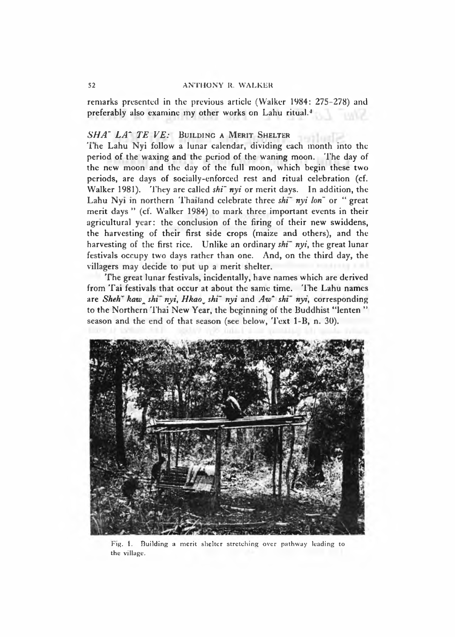## 52 ANTHONY R. WALKER

remarks presented in the previous article (Walker 1984: 275-278) and preferably also examine my other works on Lahu ritual.4

**Trablair** 

## *SHA* LA<sup> $\circ$ </sup> TE VE: BUILDING A MERIT SHELTER

*ri* he Lahu Nyi follow a lunar calendar, dividing each month into the period of the waxing and the period of the waning moon. The day of the new moon and the day of the full moon, which begin these two periods, are days of socially-enforced rest and ritual celebration (cf. Walker 1981). They are called *shi<sup>-</sup> nyi* or merit days. In addition, the Lahu Nyi in northern Thailand celebrate three *shi* nyi lon<sup>-</sup> or " great merit days " (cf. Walker 1984) to mark three important events in their agricultural year: the conclusion of the firing of their new swiddens, the harvesting of their first side crops (maize and others), and the harvesting of the first rice. Unlike an ordinary *sni nyi,* the great lunar festivals occupy two days rather than one. And, on the third day, the villagers may decide to put up a merit shelter.

The great lunar festivals, incidentally, have names which are derived from Tai festivals that occur at about the same time. The Lahu names are *Sheh kaw^ shi nyi, Hkao sht nyi* and *Aw" shi nyi,* corresponding to the Northern Thai New Year, the beginning of the Buddhist "lenten" season and the end of that season (see below, Text 1-B, n. 30).



Fig. 1. Building a merit shelter stretching over pathway leading to the village.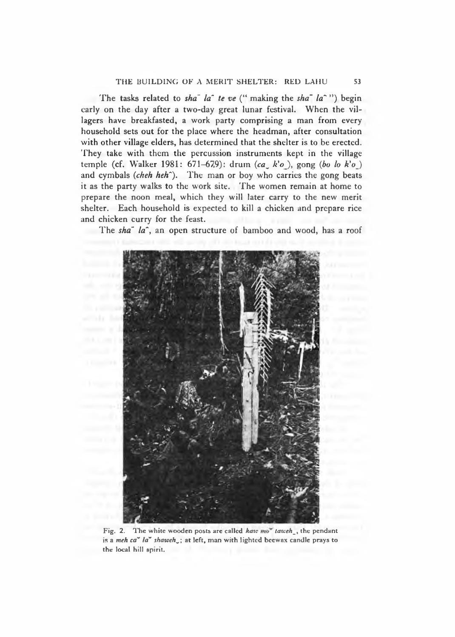The tasks related to *sha<sup>-</sup> la<sup>-</sup> te ve* ("making the *sha<sup>-</sup> la<sup>-</sup>*") begin early on the day after a two-day great lunar festival. When the villagers have breakfasted, a work party comprising a man from every household sets out for the place where the headman, after consultation with other village elders, has determined that the shelter is to be erectcd. They take with them the percussion instruments kept in the village temple (cf. Walker 1981: 671-679): drum *(ca<sub>c</sub> k'o )*, gong *(bo lo k'o )* and cymbals *(cheh heh<sup>\*</sup>)*. The man or boy who carries the gong beats it as the party walks to the work site. The women remain at home to prepare the noon meal, which they will later carry to the new merit shelter. Each household is expected to kill a chicken and prepare rice and chicken curry for the feast.

The *sha* la<sup>2</sup>, an open structure of bamboo and wood, has a roof



Fig. 2. The white wooden posts are called *kate mo* taweh, the pendant is a meh ca<sup>v</sup> la<sup>v</sup> shaweh<sub>-</sub>; at left, man with lighted bcewax candle prays to the local hill spirit.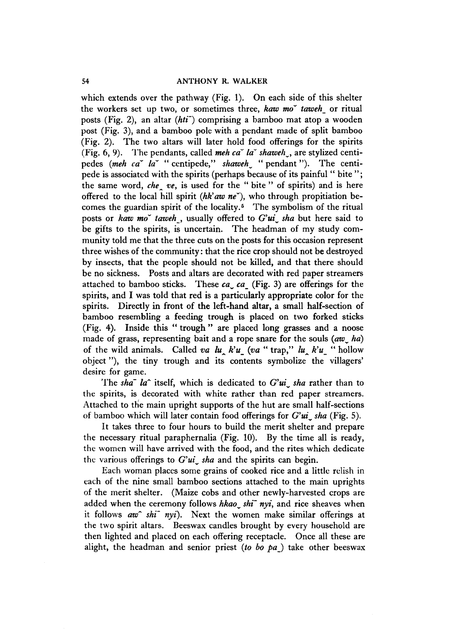which extends over the pathway (Fig. 1). On each side of this shelter the workers set up two, or sometimes three, *kaw mo" taweh\_* or ritual posts (Fig. 2), an altar *(hti~)* comprising a bamboo mat atop a wooden post (Fig. 3), and a bamboo pole with a pendant made of split bamboo (Fig. 2). The two altars will later hold food offerings for the spirits (Fig. 6, 9). The pendants, called *meh ca* la shaweh, are stylized centipedes *(meh ca<sup>"</sup> la*" " centipede," *shaweh* " pendant"). The centipede is associated with the spirits (perhaps because of its painful " bite " ; the same word, *che* ve, is used for the " bite " of spirits) and is here offered to the local hill spirit *{hk'aw ne"\* who through propitiation becomes the guardian spirit of the locality.<sup>5</sup> The symbolism of the ritual posts or *kaw mo* taweh, usually offered to G'ui, sha but here said to be gifts to the spirits, is uncertain. The headman of my study community told me that the three cuts on the posts for this occasion represent three wishes of the community: that the rice crop should not be destroyed by insects, that the people should not be killed, and that there should be no sickness. Posts and altars are decorated with red paper streamers attached to bamboo sticks. These *ca<sub>\_</sub> ca\_* (Fig. 3) are offerings for the spirits, and I was told that red is a particularly appropriate color for the spirits. Directly in front of the left-hand altar, a small half-section of bamboo resembling a feeding trough is placed on two forked sticks (Fig. 4). Inside this " trough " are placed long grasses and a noose made of grass, representing bait and a rope snare for the souls *(aw^ ha)* of the wild animals. Called *va lu Ku\_ (va* " trap," *lu^ Ku\_* " hollow object "), the tiny trough and its contents symbolize the villagers' desire for game.

The *sha* la<sup>2</sup> itself, which is dedicated to G'ui\_ sha rather than to the spirits, is decorated with white rather than red paper streamers. Attached to the main upright supports of the hut are small half-sections of bamboo which will later contain food offerings for G'ui sha (Fig. 5).

It takes three to four hours to build the merit shelter and prepare the necessary ritual paraphernalia *(Fig. 10)*. By the time all is ready, the women will have arrived with the food, and the rites which dedicate the various offerings to  $G'u$ , sha and the spirits can begin.

Each woman places some grains of cooked rice and a little relish in each of the nine small bamboo sections attached to the main uprights of the merit shelter. (Maize cobs and other newly-harvested crops are added when the ceremony follows *hkao shi<sup>-</sup> nyi*, and rice sheaves when it follows  $aw^{\dagger}$  shi<sup>-</sup> nyi). Next the women make similar offerings at the two spirit altars. Beeswax candles brought by every household are then lighted and placed on each offering receptacle. Once all these are alight, the headman and senior priest *(to bo pa)* take other beeswax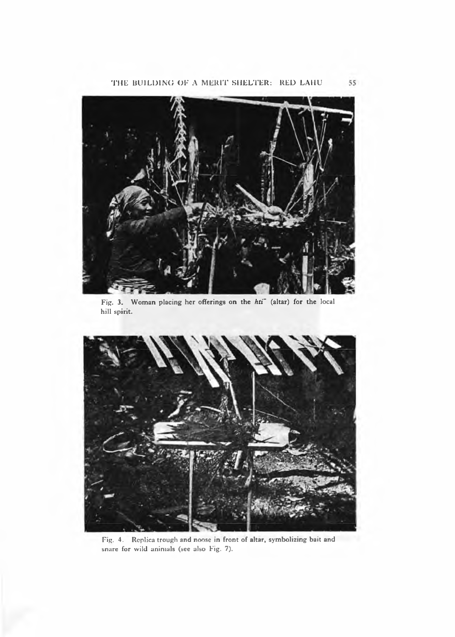## THE BUILDING OF A MERIT SHELTER: RED LAHU



Fig. 3. Woman placing her offerings on the *hti*<sup>-</sup> (altar) for the local hill spirit.



Fig. 4. Replica trough and noose in front of altar, symbolizing bait and snare for wild animals (see also Fig. 7).

55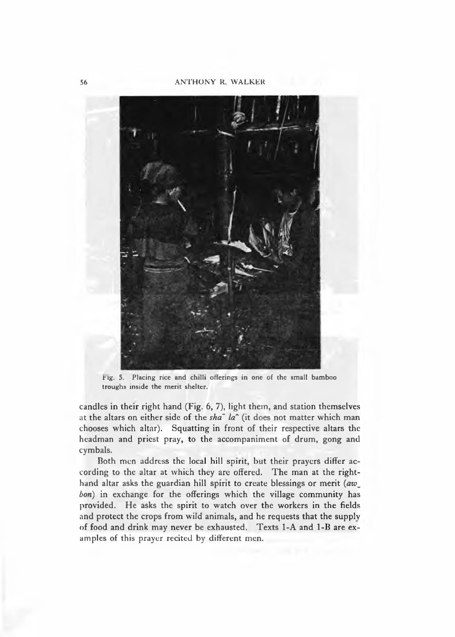56 ANTHONY R. WALKER



rig. 5. Placing rice and chilli offerings in one of the small bamboo troughs inside the merit shelter.

candles in their right hand (Fig.  $6, 7$ ), light them, and station themselves at the altars on either side of the *sha<sup>-</sup> la*<sup>2</sup> (it does not matter which man chooses which altar). Squatting in front of their respective altars the headman and priest pray, to the accompaniment of drum, gong and cymbals.

Both men address the local hill spirit, but their prayers differ according to the altar at which they are offered. The man at the righthand altar asks the guardian hill spirit to create blessings or merit *{aw^ bon)* in exchange for the offerings which the village community has provided. He asks the spirit to watch over the workers in the fields and protect the crops from wild animals, and he requests that the supply of food and drink may never be exhausted. Texts 1-A and 1-B are examples of this prayer recited by different men.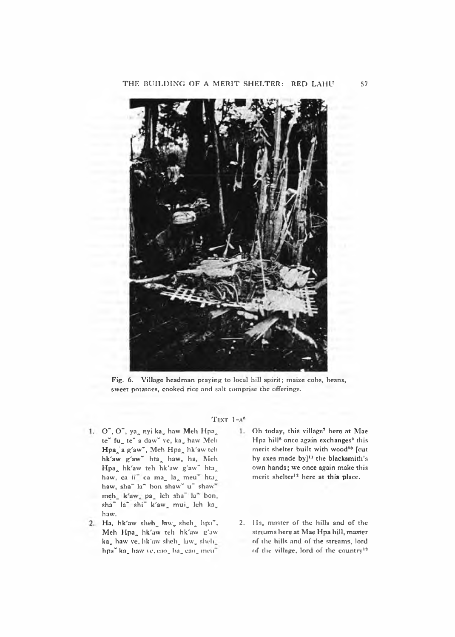

Fig. 6. Village headman praying to local hill spirit; maize cobs, beans, sweet potatoes, cooked rice and salt comprise the offerings.

## $T$ EXT  $1-A^6$

- 1. O", O", ya, nyi ka, haw Meh Hpn te" fu\_ te" a daw" ve, ka\_ haw Meh Hpa, a g'aw", Meh Hpa, hk'aw tch hk'aw g'aw<sup>v</sup> hta, haw, ha, Meh Hpa, hk'aw teh hk'aw g'aw" hta haw, ca li ca ma\_ la\_ meu hta haw, sha<sup>- la^</sup> hon shaw" u<sup>-</sup> shaw" meh\_ k'aw\_ pa\_ leh sha" ia" bon, sha<sup>-</sup> la<sup>^</sup> shi<sup>-</sup> k'aw<sub>a</sub> mui, leh ka, haw.
- 2. Ha, hk'aw sheh\_ law<sub>v</sub> sheh\_ lipa", Meh Hpa<sub>n</sub> hk'aw teh hk'aw g'aw ka, haw ve, lik'aw slich\_ law, shelihpa<sup>x</sup> ka\_ haw ve, cao\_ ba\_ cao\_ men<sup>\*\*</sup>
- 1. Oh today, this village<sup>7</sup> here at Mae Hpa hill<sup>8</sup> once again exchanges<sup>9</sup> this merit shelter built with wood<sup>10</sup> [cut by axes made by]<sup>11</sup> the blacksmith's own hands; we once again make this merit shelter<sup>12</sup> here at this place.
- 2. Ha, master of the hills and of the streams here at Mae Hpa hill, master of the hills nnd of the streams, lord of the village, lord of the country<sup>13</sup>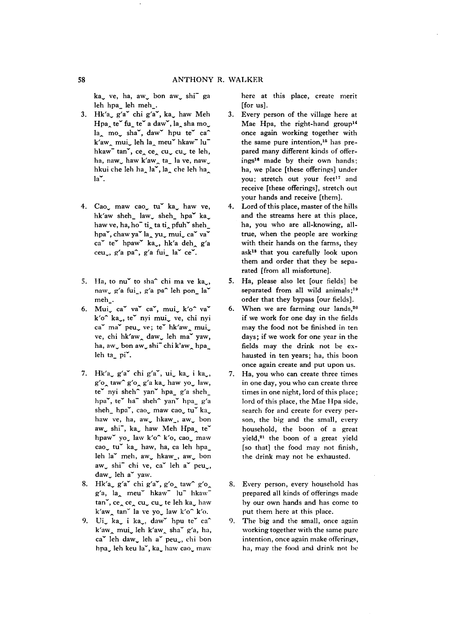ka ve, ha, aw bon aw shi<sup>-</sup> ga leh hpa\_ leh meh\_.

- 3. Hk'a<sub>v</sub> g'a<sup> $\checkmark$ </sup> chi g'a $\checkmark$ , ka<sub>v</sub> haw Meh  $Hpa_{\lambda}$  te $\check{ }$  fu\_ te $\check{ }$  a daw  $\check{ }$ , la $_{\lambda}$  sha mo $_{\star}$ la mo sha', daw' hpu te' ca^ k'aw mui, leh la meu hkaw lu hkaw" tan", ce, ce, cu, cu, te leh, ha, naw, haw k'aw, ta\_ la ve, naw, hkui che leh ha la , la che leh ha  $1a^{\star}$ .
- 4. Cao maw cao tu ka haw ve, hk'aw sheh\_ law\_ sheh\_ hpa ka\_ haw ve, ha, ho<sup>t</sup> ti, ta ti, pfuh sheh hpa", chaw ya" la\_ yu\_ mui\_ ca" va" ca<sup>v</sup> te hpaw ka, hk'a deh g'a ceu, g'a pa<sup>o</sup>, g'a fui\_ la ce .
- 5. Ha, to nu to sha<sup>^</sup> chi ma ve ka<sub> $,$ </sub> naw, g'a fui, g'a pa^ leh pon\_ la meh\_.
- 6. Mui ca va ca , mui k'o va k'o<sup>^</sup> ka<sub>v</sub>, te nyi mui, ve, chi nyi ca ma peu, ve; te hk'aw mui, ve, chi hk'aw, daw, leh ma yaw, ha, aw\_ bon aw\_ shi<sup>-</sup> chi k'aw. hpa leh ta\_ pi<sup>x</sup>.
- 7. Hk'a<sub>v</sub> g'a<sup>v</sup> chi g'a<sup>v</sup>, ui<sub>v</sub> ka<sub>v</sub> i ka<sub>v</sub>,  $g'o_{\alpha}$  taw<sup>^</sup>  $g'o_{\alpha}$   $g'a$  ka<sub> $\alpha$ </sub> haw yo<sub> $\alpha$ </sub> law, te" nyi sheh^ yan" hpa\_ g'a sheh\_ hpa", te" ha" sheh<sup>^</sup> yan" hpa\_ g'a sheh  $hpa^{\prime}$ , cao maw cao tu $^{\prime}$  ka haw ve, ha, aw, hkaw\_, aw, bon aw, shi, ka, haw Meh Hpa, te hpaw yo law k'o k'o, cao maw cao, tu ka, haw, ha, ca leh hpa\_ leh la<sup>x</sup> meh, aw<sub> hkaw\_</sub>, aw bon aw<sub>,</sub> shi chi ve, ca leh a peu, daw\_ leh a yaw.
- 8. Hk'a<sub>v</sub> g'a chi g'a ', g'o<sub>n</sub> taw g'o<sub>n</sub> g'a, la<sub>o</sub> meu hkaw<sup>-</sup> lu hkaw  $\tan^{\sim}$ , ce, ce, cu, cu, te leh ka, haw k'aw, tan $\checkmark$  la ve yo, law k'o $\hatmark$  k'o.
- 9. Ui, ka, i ka,, daw' hpu te' ca^ k'aw\_ mui\_ leh k'aw\_ sha g'a, ha, ca leh daw, leh a peu, chi bon hpa\_ leh keu la ', ka\_ haw cao\_ maw

here at this place, create merit [for us].

- 3. Every person of the village here at Mae Hpa, the right-hand group<sup>14</sup> once again working together with the same pure intention,<sup>15</sup> has prepared many different kinds of offerings16 made by their own hands; ha, we place [these offerings] under you; stretch out your feet<sup>17</sup> and receive [these offerings], stretch out your hands and receive [them].
- 4. Lord of this place, master of the hills and the streams here at this place, ha, you who are all-knowing, alltrue, when the people are working with their hands on the farms, they ask18 that you carefully look upon them and order that they be separated [from all misfortune].
- 5. Ha, please also let [our fields] be separated from all wild animals;<sup>19</sup> order that they bypass [our fields].
- 6. When we are farming our lands, $20$ if we work for one day in the fields may the food not be finished in ten days; if we work for one year in the fields may the drink not be exhausted in ten years; ha, this boon once again create and put upon us.
- 7. Ha, you who can create three times in one day, you who can create three times in one night, lord of this place; lord of this place, the Mae Hpa side, search for and create for every person, the big and the small, every household, the boon of a great yield,<sup>21</sup> the boon of a great yield [so that] the food may not finish, the drink may not he exhausted.
- Every person, every household has prepared all kinds of offerings made by our own hands and has come to put them here at this place.
- 9. The big and the small, once again working together with the same pure intention, once again make offerings, ha, may the food and drink not he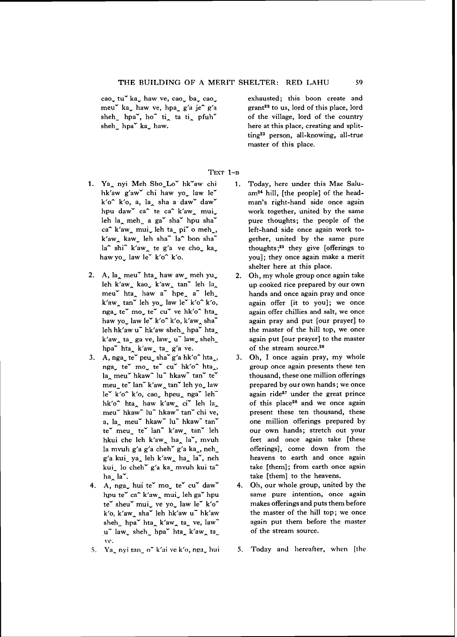cao\_ tu<sup>o</sup> ka\_ haw ve, cao\_ ba\_ cao\_ meu<sup>x</sup> ka<sub>v</sub> haw ve, hpa\_ g'a je^ g'a sheh\_ hpa $\checkmark$ , ho<sup>-</sup> ti\_ ta ti\_ pfuh $\checkmark$ sheh hpa ka haw.

exhausted; this boon create and grant<sup>22</sup> to us, lord of this place, lord of the village, lord of the country here at this place, creating and splitting23 person, all-knowing, all-true master of this place.

#### Text 1–b

- 1. Ya, nyi Meh Sho\_Lo hk'aw chi hk'aw g'aw chi haw yo law le k'o<sup>^</sup> k'o, a, la<sub>o</sub> sha a daw daw hpu daw ca^ te ca^ k'aw\_ mui, leh la meh a ga sha hpu sha  $ca^*$  k'aw, mui, leh ta\_ pi o meh, k'aw, kaw\_ leh sha $^-$  la $^{\circ}$  bon sha $^$ la^ shi<sup>-</sup> k'aw<sub>a</sub> te g'a ve cho<sub>v</sub> ka<sub>v</sub> haw yoy law le k'o k'o.
- 2. A,  $\ln_{\alpha}$  meu<sup> $\times$ </sup> hta, haw aw\_ meh yu leh k'aw, kao, k'aw, tan leh la meu hta<sub> $\lambda$ </sub> haw a<sup>-</sup> hpe<sub> $\lambda$ </sub> a<sup>-</sup> leh<sub> $\lambda$ </sub> k'aw, tan leh yo, law le k'o k'o, nga<sub> $\sim$ </sub> te $\sim$  mo $\sim$  te $\sim$  cu $\sim$  ve hk'o $\sim$  hta haw yo, law le<sup>v</sup> k'o^ k'o, k'aw, sha leh hk'aw u<sup>-</sup> hk'aw sheh\_ hpa<sup>\*</sup> hta<sub>^</sub> k'aw ta\_ ga ve, law  $\sqrt{u}$  law sheh\_ hpa $\checkmark$  hta<sub> $\checkmark$ </sub> k'aw<sub> $\checkmark$ </sub> ta\_ g'a ve.
- 3. A, nga\_ te $Y$  peu\_ sha  $g'$ a hk'o^ hta<sub>^</sub>, nga, te<sup>v</sup> mo, te<sup>v</sup> cu<sup>v</sup> hk'o<sup>^</sup> hta<sub>^</sub>, la\_ meu<sup>x</sup> hkaw<sup>-</sup> lu<sup>-</sup> hkaw<sup>-</sup> tan te<sup>x</sup> meu\_ te^ lan- k'aw tan^ leh yo^ law le<sup>x</sup> k'o<sup>^</sup> k'o, cao<sub>v</sub> hpeu<sub>n</sub> nga leh<sup>-</sup> hk'o<sup>^</sup> hta, haw k'aw, ci<sup>o</sup> leh la, meu" hkaw- lu~ hkaw- tan^ chi ve, a, la\_ meu hkaw<sup>-</sup> lu<sup>-</sup> hkaw<sup>-</sup> tan te<sup>o</sup> meu\_ te<sup>o</sup> lan k'aw\_ tan leh hkui che leh k'aw, ha, la", mvuh la mvuh g'a g'a cheh "g'a ka\_, neh\_ g'a kui\_ ya\_ leh k'aw\_ ha\_ la , neh kui lo cheh<sup>Y</sup> g'a ka mvuh kui ta<sup>^</sup> ha $\lambda$  la $\lambda$ .
- 4. A, nga, hui te<sup>o</sup> mo, te<sup>o</sup> cu<sup>o</sup> daw hpu te<sup>o</sup> ca^ k'aw mui leh ga<sup>o</sup> hpu te<sup>o</sup> sheu<sup>o</sup> mui, ve yo, law le k'o<sup>^</sup> k'o, k'aw, sha' leh hk'aw u<sup>-</sup> hk'aw sheh\_ $hpa^* hta_k^'$ k'aw ta\_ ve, law" u law, sheh\_ hpa hta k'aw ta\_  $ve.$
- 5. Ya nyi tan\_o k'ai ve k'o, nga hui
- 1. Today, here under this Mae Saluam24 hill, [the people] of the headman's right-hand side once again work together, united by the same pure thoughts; the people of the left-hand side once again work together, united by the same pure thoughts;25 they give [offerings to you]; they once again make a merit shelter here at this place.
- 2. Oh, my whole group once again take up cooked rice prepared by our own hands and once again pray and once again offer [it to youj; we once again offer chillies and salt, we once again pray and put [our prayer] to the master of the hill top, we once again put [our prayer] to the master of the stream source.<sup>26</sup>
- 3. Oh, I once again pray, my whole group once again presents these ten thousand, these one million offerings prepared by our own hands; we once again ride<sup>27</sup> under the great prince of this place28 and we once again present these ten thousand, these one million offerings prepared by our own hands; stretch out your feet and once again take [these offerings], come down from the heavens to earth and once again take [them]; from earth once again take [them] to the heavens.
- 4. Oh, our whole group, united by the same pure intention, once again makes offerings and puts them before the master of the hill top; we once again put them before the master of the stream source.
- 5. Today and hereafter, when [the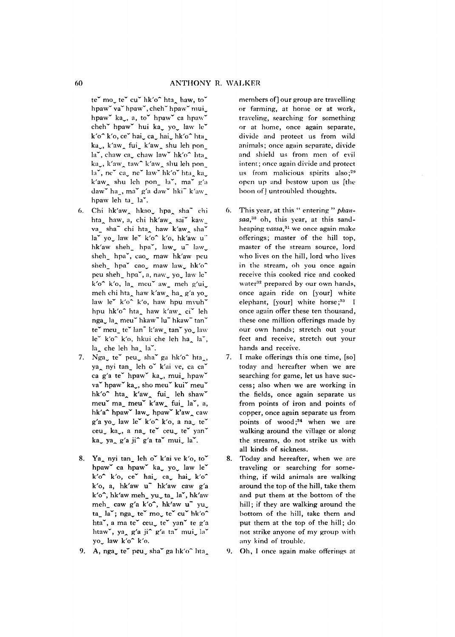te<sup>v</sup> mo<sub>v</sub> te<sup>v</sup> cu<sup>v</sup> hk'o<sup>^</sup> hta, haw, to<sup>v</sup> hpaw va hpaw, cheh ' hpaw' mui hpaw<sup>x</sup> ka<sub>v</sub>, a, to<sup>x</sup> hpaw<sup>x</sup> ca hpaw<sup>x</sup> cheh<sup>*\**</sup> hpaw<sup>\*</sup> hui ka\_ yo\_ law le<sup>\*</sup> k'o<sup>^</sup> k'o, ce<sup>v</sup> hai, ca, hai, hk'o<sup>^</sup> hta ka<sub>r</sub>, k'aw fui k'aw shu leh pon la", chaw ca\_ chaw law" hk'o" hta ka<sub>v</sub>, k'aw taw<sup>^</sup> k'aw shu leh pon  $ha^*$ , ne $^*$  ca $_{\mathrm{v}}$  ne $^*$  law $^*$  hk'o $^*$  hta $_{\mathrm{v}}$  ka $_{\mathrm{v}}$ k'aw\_ shu leh pon\_ la', ma' g'a daw ha\_, ma g'a daw hki k'aw\_ hpaw leh ta\_la".

- 6. Chi hk'aw, hkao, hpa, sha" chi hta haw, a, chi hk'aw sai kaw va\_ sha" chi hta\_ haw k'aw\_ sha' la<sup>v</sup> yo<sub>v</sub> law le<sup>v</sup> k'o<sup>^</sup> k'o, hk'aw u" hk'aw sheh\_ hpa", law\_ u<sup>-</sup> law\_ sheh\_ hpa", cao\_ maw hk'aw peu sheh\_ hpa $\check{ }$  cao\_ maw law\_ hk'o" pcu sheh\_ hpa", a, naw\_ yo\_ law lc" k'o<sup>^</sup> k'o, la, meu<sup>x</sup> aw\_ meh g'ui meh chi hta, haw k'aw, ha, g'a yo law le<sup>x</sup> k'o<sup>\*</sup> k'o, haw hpu mvuh hpu hk'o^ hta haw k'aw ci leh nga<sub>v</sub> la<sub>2</sub> meu<sup>x</sup> hkaw<sup>-</sup> lu<sup>-</sup> hkaw<sup>-</sup> tan<sup>x</sup> te<sup>o</sup> meu\_ te<sup>o</sup> lan k'aw\_ tan yo\_ law le<sup>v</sup> k'o<sup>^</sup> k'o, hkui che leh ha la<sup>v</sup>, la che leh ha la .
- 7. Nga, te $^{\circ}$  peu, sha $^{\circ}$  ga hk'o $^{\circ}$  hta, ya, nyi tan\_ leh o k'ai ve, ca ca' ca g'a te hpaw ka<sub>r</sub>, mui hpaw va" hpaw" ka\_, sho meu" kui" meu" hk'o<sup>^</sup> hta<sub>,</sub> k'aw<sub>a</sub> fui\_ leh shaw meu ma\_ meu k'aw fui\_ la , a, hk'a^ hpaw law, hpaw k'aw. caw g'a yo, law le k'o k'o, a na, te ceu, ka, a na, te ceu, te yan ka<sub>v</sub> ya<sub>o</sub> g'a ji g'a ta mui, la .
- 8. Ya\_ nyi tan\_ leh o k'ai ve k'o, to hpaw ca hpaw ka yo law le k'o k'o, ce hai, ca, hai, k'o k'o, a, hk'aw u hk'aw caw g'a k'o", hk'aw meh\_ yu\_ ta\_ la", hk'aw meh\_ caw g'a k'o<sup>^</sup>, hk'aw u<sup>-</sup> yu\_ ta\_ la<sup>\*</sup>; nga\_ te<sup>\*</sup> mo\_ te<sup>\*</sup> cu<sup>\*</sup> hk'o<sup>^</sup> hta", a ma te" ceu, te" yan" te g'a htaw, ya<sub> $\sim$ </sub> g'a ji g'a ta $\sim$  mui, la $\sim$ yo<sub>v</sub> law k'o<sup> $\sim$ </sup> k'o.
- 9. A, nga, te peu, sha ga lik'o lita,

members of] our group are travelling or farming, at home or at work, traveling, searching for something or at home, once again separate, divide and protect us from wild animals; once again separate, divide and shield us from men of evil intent; once again divide and protect us from malicious spirits also;<sup>29</sup> open up and bestow upon us [the boon of) untroubled thoughts.

- 6. This year, at this " entering " *phan*saa,<sup>30</sup> oh, this year, at this sandheaping  $vassa$ ,<sup>31</sup> we once again make offerings; master of the hill top, master of the stream source, lord who lives on the hill, lord who lives in the stream, oh you once again receive this cooked rice and cooked water<sup>32</sup> prepared by our own hands, once again ride on [your] white elephant, [your] white horse;33 I once again offer these ten thousand, these one million offerings made by our own hands; stretch out your feet and receive, strctch out your hands and receive.
- /. I make offerings this one time, [so] today and hereafter when we are searching for game, let us have success; also when we are working in the fields, once again separate us from points of iron and points of copper, once again separate us from points of wood;<sup>34</sup> when we are walking around the village or along the streams, do not strike us with all kinds of sickness.
- 8. Today and hereafter, when we are traveling or searching for something, if wild animals are walking around the top of the hill, take them and put them at the bottom of the hill; if they are walking around the bottom of the hill, take them and put them at the top of the hill; do not strike anyone of my group with any kind of trouble.
- 9. Oh, I once again make offerings at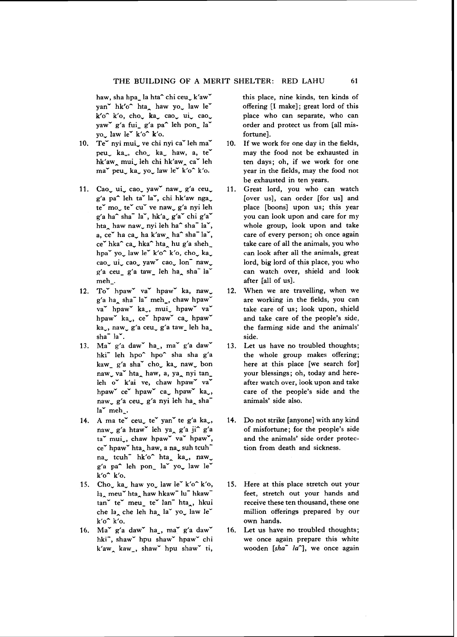haw, sha hpa\_ la hta<sup>^</sup> chi ceu\_ k'aw<sup>v</sup> yan<sup>Y</sup> hk'o<sup>^</sup> hta<sub>s</sub> haw yo<sub>V</sub> law le<sup>y</sup>  $k'$ o $\hat{ }$  k'o, cho $\hat{ }$  ka $\hat{ }$  cao $\hat{ }$  ui $\hat{ }$  cao $\hat{ }$ yaw^ g'a fui\_ g'a pa^ leh pon\_ la^ yo<sub>v</sub> law le<sup>x</sup> k'o<sup>^</sup> k'o.

- 10. Te<sup>o</sup> nyi mui, ve chi nyi ca<sup>o</sup> leh ma<sup>o</sup> peu, ka, cho, ka, haw, a, te hk'aw mui leh chi hk'aw ca leh ma<sup> $\checkmark$  peu<sub>c</sub> ka<sub>v</sub> yo<sub>v</sub> law le $\checkmark$  k'o<sup>^</sup> k'o.</sup>
- 11. Cao ui cao yaw naw g'a ceu g'a pa<sup>^</sup> leh ta la ', chi hk'aw nga\_ te<sup>o</sup> mo<sub>v</sub> te<sup>o</sup> cu<sup>o</sup> ve naw<sub>y</sub> g'a nyi leh  $g'a'$ a ha^ sha<sup>-</sup> la>, hk'a\_ g'a> chi g'a> hta, haw naw, nyi leh ha^ sha<sup>-</sup> la>, a, ce" ha ca $\Box$  ha k'aw $\Box$  ha sha  $\Box$  la", ce<sup>v</sup> hka<sup>^</sup> ca\_ hka<sup>^</sup> hta\_ hu g'a sheh\_ hpa<sup>Y</sup> yo<sub>v</sub> law le k'o^ k'o, cho<sub>v</sub> ka<sub>v</sub> cao<sub>v</sub> ui<sub>v</sub> cao<sub>v</sub> yaw cao<sub>v</sub> lon<sup>-</sup> naw<sub>v</sub> g'a ceu g'a taw leh ha sha la meh\_.
- 12. To hpaw va hpaw ka, naw g'a ha\_ sha<sup>-</sup> la meh\_, chaw hpaw va hpaw ka, mui, hpaw va hpaw<sup>x</sup> ka<sub>-</sub>, ce hpaw ca hpaw ka, naw, g'a ceu, g'a taw\_ leh ha  $sha^ la^*$ .
- 13. Ma<sup>x</sup> g'a daw<sup>x</sup> ha\_, ma<sup>x</sup> g'a daw<sup>x</sup> hki<sup>-</sup> leh hpo<sup>^</sup> hpo<sup>^</sup> sha sha g'a kaw\_ g'a sha cho ka naw bon naw, va hta, haw, a, ya, nyi tan\_ leh o' k'ai ve, chaw hpaw va' hpaw ce hpaw ca hpaw ka., naw<sub>y</sub> g'a ceu<sub>y</sub> g'a nyi leh ha<sub>n</sub> sha<sup>-</sup> la<sup> $\epsilon$ </sup> meh ..
- 14. A ma te $^{\circ}$  ceu, te $^{\circ}$  yan te g'a ka, naw<sub> g'a</sub> htaw leh ya g'a ji g'a ta mui, chaw hpaw va hpaw, ce<sup> $\checkmark$ </sup> hpaw $\checkmark$  hta, haw, a na, suh tcuh na<sub>v</sub> tcuh<sup>-</sup> hk'o<sup>^</sup> hta<sub>n</sub> ka<sub>v</sub>, naw<sub>v</sub> g'a pa^ leh pon\_ la $\checkmark$  yo<sub>v</sub> law le $\checkmark$ k'o<sup>^</sup> k'o.
- 15. Cho<sub>v</sub> ka<sub>v</sub> haw yo<sub>v</sub> law le<sup> $\times$ </sup> k'o<sup> $\wedge$ </sup> k'o, lą, meu<sup>x</sup> hta, haw hkaw<sup>-</sup> lu<sup>-</sup> hkaw<sup>-</sup> tan te meu\_ te lan hta, hkui che la che leh ha la yo law le k'o<sup>^</sup> k'o.
- 16. Ma<sup>x</sup> g'a daw ha\_, ma g'a daw hki", shaw hpu shaw hpaw chi k'aw, kaw, shaw hpu shaw ti,

this place, nine kinds, ten kinds of offering [I make]; great lord of this place who can separate, who can order and protect us from [all misfortune],

- 10. If we work for one day in the fields, may the food not be exhausted in ten days; oh, if we work for one year in the fields, may the food not be exhausted in ten years.
- 11. Great lord, you who can watch [over us], can order [for us] and place [boons] upon us; this year you can look upon and care for my whole group, look upon and take care of every person; oh once again take care of all the animals, you who can look after all the animals, great lord, big lord of this place, you who can watch over, shield and look after [all of us].
- 12. When we are travelling, when we are working in the fields, you can take care of us; look upon, shield and take care of the people's side, the farming side and the animals' side.
- 13. Let us have no troubled thoughts; the whole group makes offering; here at this place [we search for] your blessings; oh, today and hereafter watch over, look upon and take care of the people's side and the animals' side also.
- 14. Do not strike [anyone] with any kind of misfortune; for the people's side and the animals' side order protection from death and sickness.
- 15. Here at this place stretch out your feet, stretch out your hands and receive these ten thousand, these one million offerings prepared by our own hands.
- 16. Let us have no troubled thoughts; we once again prepare this white wooden *[sha~* /a^], we once again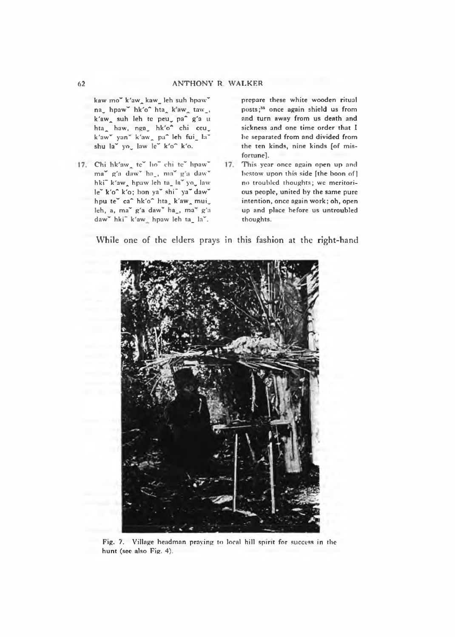kaw mo<sup>v</sup> k'aw, kaw\_ leh suh hpaw\* na<sub>v</sub> hpaw<sup>v</sup> hk'o<sup>^</sup> hta<sub>n</sub> k'aw<sub>-</sub>, taw<sub>-</sub>, k'aw\_ suh leh te peu, pa^ g'a u hta haw, nga hk'o" chi ceu k'aw" yan" k'aw, pa<sup>n</sup> leh fui\_ la" shu la<sup>v</sup> yo<sub>v</sub> law le<sup>v</sup> k'o<sup>o</sup> k'o.

17. Chi hk'aw te" lio" chi te" lipaw" ma<sup>v</sup> g'a daw" ha\_, ma<sup>v</sup> g'a daw" hki" k'aw, hpaw leh ta\_ la" yo, law le" k'o" k'o; hon ya" shi" ya" daw" hpu te<sup>v</sup> ca<sup>^</sup> hk'o<sup>^</sup> hta<sub>n</sub> k'aw<sub>n</sub> mui leh, a, ma" g'a daw" ha\_, ma" g'a daw" hki<sup>-</sup> k'aw\_ hpaw leh ta\_ la".

prepare these white wooden ritual posts;<sup>35</sup> once again shield us from nnd turn away from us death and sickness and one time order that I he separated from and divided from the ten kinds, nine kinds [of misfortune].

This year once again open up and 17. bestow upon this side fthe boon of] no troubled thoughts; we meritorious people, united by the same pure intention, once again work; oh, open up and place before us untroubled thoughts.

While one of the elders prays in this fashion at the right-hand



Fig. 7. Village headman praying to local hill spirit for success in the hunt (see also Fig. 4).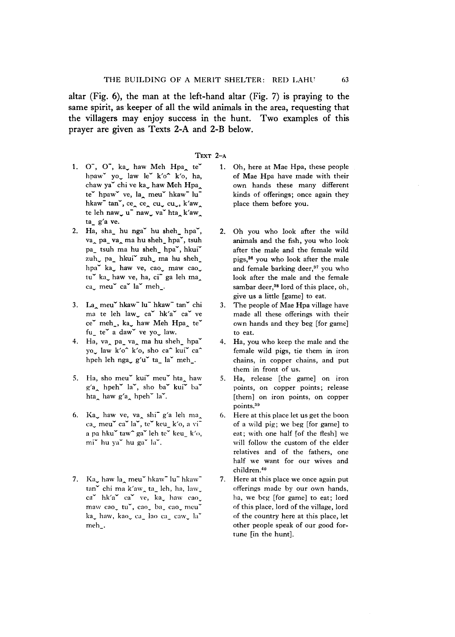altar (Fig. 6), the man at the left-hand altar (Fig. 7) is praying to the same spirit, as keeper of all the wild animals in the area, requesting that the villagers may enjoy success in the hunt. Two examples of this prayer are given as Texts 2-A and 2-B below.

#### TEXT  $2-A$

- 1. O, O, ka, haw Meh Hpa, te hpaw<sup>"</sup> yo\_ law le" k'o<sup>^</sup> k'o, ha, chaw ya chi ve ka, haw Meh Hpa te hpaw ve, la meu hkaw luhkaw"  $tan^{\sim}$ , ce, ce, cu, cu, k'aw, te leh naw\_ u<sup>-</sup> naw\_ va hta, k'aw ta\_ g'a ve.
- 2. Ha, sha\_ hu nga hu sheh\_ hpa , va pa\_ va ma hu sheh h pa ', tsuh pa\_ tsuh ma hu sheh\_ hpa , hkui zuh, pa\_ hkui zuh, ma hu sheh\_ hpa ka<sub>,</sub> haw ve, cao<sub>, maw cao,</sub> tu<sup>\*</sup> ka<sub>v</sub> haw ve, ha, ci<sup>-</sup> ga leh ma ca\_ meu<sup>v</sup> ca<sup>v</sup> la meh\_.
- 3. La<sub>s</sub> meu<sup> $\checkmark$ hkaw<sup>-</sup> lu<sup>-</sup> hkaw<sup>-</sup> tan $\checkmark$  chi 3.</sup> ma te leh law\_ ca hk'a ca ve ce meh\_, ka\_ haw Meh Hpa\_ te fu\_ te a daw ve yo law.
- 4. Ha, va, pa\_ va, ma hu sheh\_ hpa $\checkmark$ yo, law k'o^ k'o, sho ca^ kui ca^ hpeh leh nga\_ g'u ta\_ la meh\_.
- 5. Ha, sho meu kui meu hta haw g'a, hpeh<sup>v</sup> la ', sho ba' kui ba' hta, haw g'a, hpeh la .
- 6. Ka<sub>v</sub> haw ve, va<sub>n</sub> shi g'a leh ma ca, meu ca la, te keu\_ k'o, a vi a pa hku $\checkmark$  taw $\hat{q}$  ga $\checkmark$  leh tc $\checkmark$  keu k'o, mi hu ya hu ga la".
- 7. Ka<sub>v</sub> haw la meu hkaw" lu" hkaw" tan chi ma k'aw<sub>a</sub> ta\_ leh, ha, law ca hk'a ca ve, ka haw cao maw cao tu", cao ba cao meu ka<sub>v</sub> haw, kao<sub>v</sub> ca\_ lao ca\_ caw<sub>v</sub> la meh\_.
- Oh, here at Mae Hpa, these people of Mae Hpa have made with their own hands these many different kinds of offerings; once again they place them before you.
- Oh you who look after the wild animals and the fish, you who look after the male and the female wild pigs,38 you who look after the male and female barking deer,<sup>37</sup> you who look after the male and the female sambar deer,<sup>38</sup> lord of this place, oh, give us a little [game] to eat.
- The people of Mae Hpa village have made all these offerings with their own hands and they beg [for game] to eat.
- Ha, you who keep the male and the female wild pigs, tie them in iron chains, in copper chains, and put them in front of us.
- 5. Ha, release [the game] on iron points, on copper points; release [them] on iron points, on copper points.39
- 6. Here at this place let us get the boon of a wild pig; we beg [for game] to eat; with one half [of the flesh] we will follow the custom of the elder relatives and of the fathers, one half we want for our wives and children.40
- 7. Here at this place we once again put offerings made by our own hands, ha, we beg [for game] to eat; lord of this place, lord of the village, lord of the country here at this place, let other people speak of our good fortune [in the hunt].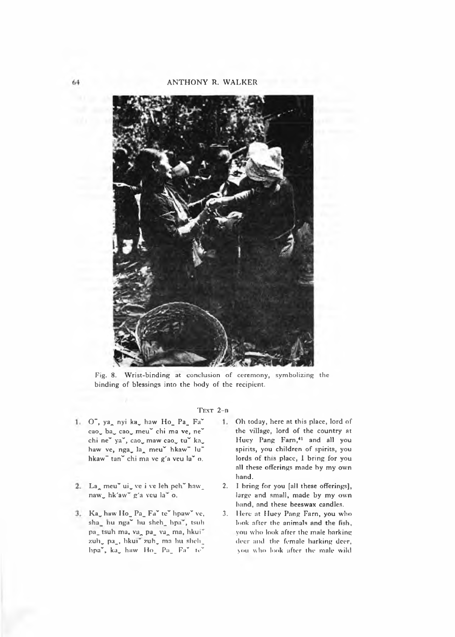## ANTHONY R. WALKER



Pig. 8. Wrist-binding at conclusion of ceremony, symbolizing the binding of blessings into the body of the recipient.

TEXT  $2-n$ 

- 1. O', ya<sub>n</sub> nyi ka<sub>v</sub> haw Ho\_ Pa\_ Fa cao, ba, cao, meu chi ma ve, ne chi ne" ya", cao, maw cao, tu" ka, haw ve, nga\_ la\_ meu<sup>v</sup> hkaw" lu<sup>-</sup> hkaw<sup>-</sup> tan<sup>y</sup> chi ma ve g'a veu la<sup>v</sup> o.
- 2. La\_ meu" uig ve i ve leh peh" haw naw\_ hk'aw" g'a vcu la" o.
- 3. Ka, haw Ho\_ Pa\_ Fa \* te \* hpaw \* ve, sha hu nga hu sheh hpa , tsuh pa tsuh ma, va, pa\_ va, ma, hkui zuh, pa\_, hkui" zuh, ma hu sheh\_ hpa", ka, haw Ho\_ Pa\_ Fa" te"
- 1. Oh today, here at this place, lord of the village, lord of the country at Huey Pang Farn,<sup>41</sup> and all you spirits, you children of spirits, you lords of this place, I bring for you all these offerings made by my own hand.
- 2. I bring for you [all these offerings], lurgc and small, made by my own hand, and these beeswax candles.
- 3. Here at Huey Pang Farn, you who look after the animals and the fish, you who look after the male barking decr and the female harking deer, you who look after the male wild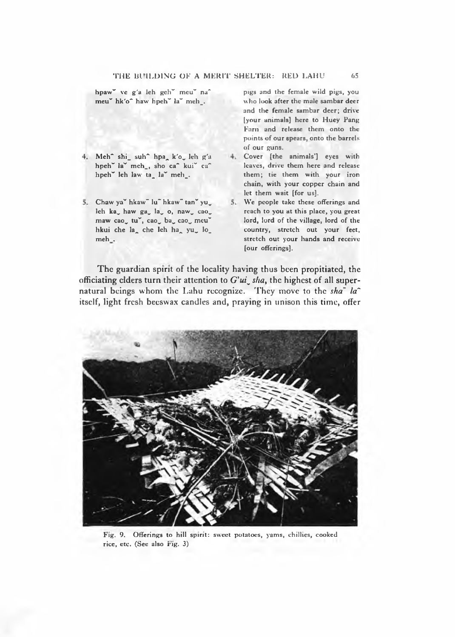hpaw<sup>v</sup> ve g'a leh gehv meuv na meu<sup>v</sup> hk'o<sup>o</sup> haw hpeh<sup>v</sup> lav meh\_.

- 4. Meh<sup>o</sup> shi\_ suh<sup>o</sup> hpa\_ k'o\_ leh g'a hpeh<sup>"</sup> la<sup>\*</sup> mch\_, sho ca<sup>\*</sup> kui<sup>\*</sup> ca<sup>\*</sup> hpeh" leh law ta\_ la" meh\_.
- 5. Chaw ya<sup>x</sup> hkaw<sup>-</sup> lu<sup>-</sup> hkaw<sup>-</sup> tan<sup>y</sup> yu leh ka haw ga la o, naw cao maw cao tu", cao ba cao meu" hkui che la che leh ha yu\_ lo\_ meh\_.

pigs and the female wild pigs, you who look after the male sambar deer and the female sambar deer; drive lyour animals] here to Huey Pang Farn and release them onto the points of our spears, onto the barrels of our guns.

- Cover [the animals'] eyes with leaves, drive them here and release them; tie them with your iron chain, with your copper chain and let them wait [for us].
- We people take these offerings and rcach to you at this place, you great lord, lord of the village, lord of the country, strctch out your feet, strctch out your hands and receive [our offerings].

The guardian spirit of the locality having thus been propitiated, the officiating ciders turn their attention to G'ui\_ sha, the highest of all supernatural beings whom the Lahu recognize. They move to the *sha" la* itself, light fresh beeswax candles and, praying in unison this time, offer



tig. 9. Offerings to hill spirit: sweet potatoes, yams, chillies, cooked rice, etc. (See also Fig. 3)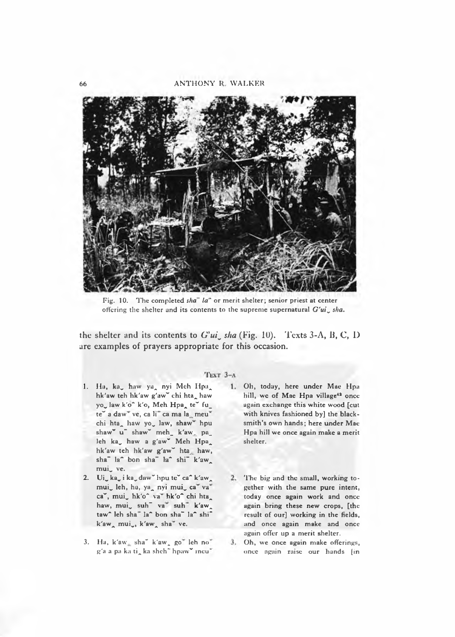

Fig. 10. The completed sha<sup>-</sup> la<sup>\*</sup> or merit shelter; senior priest at center offering the shelter and its contents to the supreme supernatural *G'ui^ sha.*

the shelter and its contents to  $G'ui$  sha (Fig. 10). Texts 3-A, B, C, D are examples of prayers appropriate for tms occasion.

#### TEXT  $3-A$

- 1. Ha, ka, haw ya, nyi Mch Hpa, hk'aw teh hk'aw g'aw" chi hta, haw yo\_ law k'o^ k'o, Meh Hpa, tev fu\_ te a daw ve, ca li ca ma la meu chi hta, haw yo, law, shaw hpu shaw" u" shaw" meh\_ k'aw\_ pa\_ leh ka haw a g'aw" Meh Hpa hk'aw tch hk'aw g'aw hta haw, sha" la^ bon sha" la^ shi" k'aw mui\_ ve.
- 2. Ui, ka, i ka, daw hpu te ca k'aw. mui, leh, hu, ya nyi mui, ca va ca", mui, hk'o^ va hk'o^ chi hta haw, mui, suh- va suh- k'aw taw<sup>o</sup> leh sha<sup>-</sup> la<sup>o</sup> bon sha<sup>-</sup> la<sup>o</sup> shi<sup>-</sup> k'aw mui, k'aw sha ve.
- 3. Ha, k'aw sha" k'aw go leh no" g'a a pa ka ti, ka sheh" hpaw" incu"
- Oh, today, here under Mac Hpa hill, we of Mae Hpa village<sup>42</sup> once again exchange this white wood [cut with knives fashioned by] the blacksmith's own hands; here under Mac Hpa hill we once again make a merit shelter.
- 2. The big and the small, working together with the same pure intent, today once again work and oncc again bring these new crops, [the result of our] working in the fields, and once again make and once again offer up a merit shelter.
- $3.$ Oh, we once again make offerings, once again raise our hands [in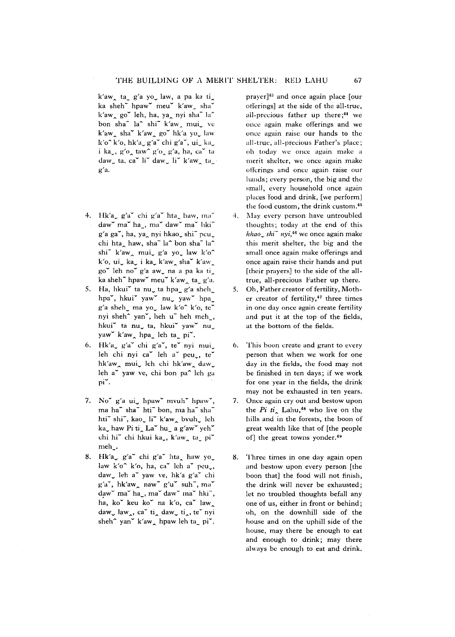k'aw, ta\_ g'a yo, law, a pa ka ti, ka sheh" hpaw" meu" k'aw\_ sha` k'aw<sub>^</sub> go leh, ha, ya<sub>^</sub> nyi sha<sup>-</sup> la^ bon sha" la^ shi" k'aw\_ mui\_ ve k'aw sha k'aw go hk'a yo law  $k'o^k$ k'o, hk'ay g'a chi g'a", uiya kay i ka g'o taw^ g'o g'a, ha, ca ta daw, ta, ca li daw, li k'aw, ta\_ g'a.

- 4. Hk'a\_ g'a" chi g'a" hta\_ haw, ma" daw ma ha\_, ma daw ma hki g'a ga", ha, ya, nyi hkao, shi" pcu, chi hta\_ haw, sha<sup>™</sup> la^ bon sha<sup>™</sup> la^ shi k'aw, mui, g'a yo, law k'o^  $k'$ o, ui, ka, i ka, k'aw, sha k'aw. go leh no g'a aw, na a pa ka ti ka sheh" hpaw" meu" k'aw, ta\_ g'a.
- 5. Ha, hkui ta nu, ta hpa\_ g'a sheh\_ hpa", hkui" yaw" nu<sub>v</sub> yaw" hpa\_ g'a sheh\_ ma yo\_ law k'o^ k'o, te" nyi sheh^ yan`, heh u<sup>-</sup> heh meh, hkui ta nu, ta, hkui yaw nu, yaw k'aw, hpa\_ leh ta\_ pi".
- 6. Hk'a g'a chi g'a", te nyi mui leh chi nyi ca leh a peu, te hk'aw, mui, leh chi hk'aw, daw, leh a yaw ve, chi bon pa leh ga pi<sup> $\checkmark$ </sup>.
- 7. No g'a ui, hpaw mvuh hpaw, ma ha<sup>-</sup> sha<sup>-</sup> hti<sup>-</sup> bon, ma ha<sup>-</sup> sha<sup>-</sup> hti<sup>-</sup> shi<sup>-</sup>, kao<sub>v</sub> li<sup>\*</sup> k'aw<sub>A</sub> bvuh<sub>v</sub> leh ka<sub>v</sub> haw Pi ti La<sup>v</sup> hu\_ a g'aw<sup>v</sup> yeh<sup>v</sup> chi hi<sup>-</sup> chi hkui ka<sub>v</sub>, k'aw<sub>a</sub> ta\_ pi meh\_.
- 8. Hk'a  $g$ 'a chi  $g'$ a hta haw yo law k'o^ k'o, ha, ca leh a peu, daw\_ leh a yaw ve, hk'a g'a chi  $g'a^*$ , hk'aw, naw<sup>-</sup>  $g'u^*$  suh<sup>-</sup>, ma<sup>\*</sup> daw ma ha\_, ma daw ma hki-, ha, ko keu ko na k'o, ca law daw, law, ca<sup>v</sup> ti, daw, ti, te nyi sheh^ yan k'aw\_ hpaw leh ta\_ pi".

prayer]43 and once again place [our offerings] at the side of the all-true, all-precious father up there;<sup>44</sup> we oncc again make offerings and wc oncc again raise our hands to the all-true, all-precious Father's place; oh today we once again make a merit shelter, we oncc again make offerings and once again raise our hands; every person, the big and the small, every household once again places food and drink, [we perform] the food custom, the drink custom.45

- 4. May every person have untroubled thoughts; today at the end of this *hkao* shi<sup>-</sup> nyi,<sup>46</sup> we once again make this merit shelter, the big and the small once again make offerings and once again raise their hands and put [their prayers] to the side of the alltrue, all-precious Father up there.
- 5. Oh, Father creator of fertility, Mothcr creator of fertility,47 three times in one day once again create fertility and put it at the top of the fields, at the bottom of the fields.
- *()•* This boon create and grant to every person that when we work for one day in the fields, the food may not be finished in ten days; if we work for one year in the fields, the drink may not be exhausted in ten years.
- 7. Once again cry out and bestow upon the *Pi ti*, Lahu,<sup>48</sup> who live on the hills and in the forests, the boon of great wealth like that of [the people of] the great towns yonder.49
- 8. Three times in one day again open and bestow upon every person [the boon that] the food will not finish, the drink will never be exhausted; let no troubled thoughts befall any one of us, either in front or behind; oh, on the downhill side of the house and on the uphill side of the house, may there be enough to eat and enough to drink; may there always be enough to eat and drink.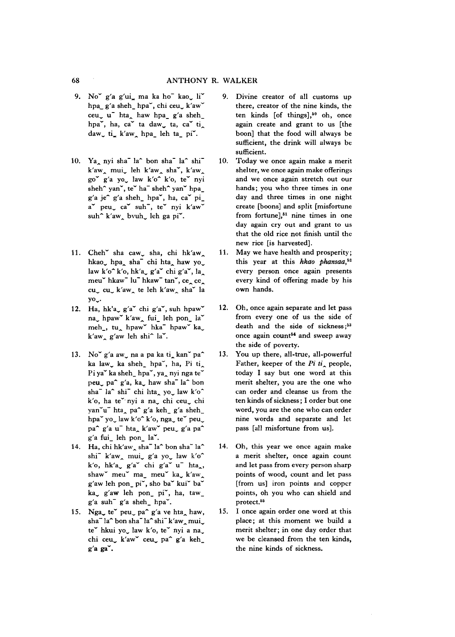- 9. No g'a g'ui, ma ka ho kao li hpa\_g'a sheh\_hpa", chi ceu\_k'aw ceu<sub>v</sub> *u*" hta<sub>2</sub> haw hpa\_ g'a sheh\_ hpa", ha, ca" ta daw, ta, ca" ti daw,  $ti_{\pi}$  k'aw, hpa\_ leh ta\_ pi".
- 10. Ya, nyi sha<sup>-</sup> la^ bon sha<sup>-</sup> la^ shi<sup>-</sup> k'aw, mui, leh k'aw, sha', k'aw, go g'a yo, law k'o k'o, te nyi sheh^ yan", te" ha<sup>-</sup> sheh^ yan" hpa\_ g'a je<sup>o</sup> g'a sheh\_ hpa", ha, ca" pi\_ a peu ca suh-, te nyi k'aw suh<sup>^</sup> k'aw\_ bvuh\_ leh ga pi<sup>y</sup>.
- 11. Cheh sha caw, sha, chi hk'aw hkao hpa sha<sup>-</sup> chi hta haw yo law k'o^ k'o, hk'a, g'a chi g'a ', la meu hkaw" lu" hkaw" tan ', ce, ce, cu, cu, k'aw, te leh k'aw, sha` la yo
- 12. Ha, hk'a, g'a chi g'a", suh hpaw<sup>y</sup> na\_ hpaw k'aw fui\_ leh pon\_ la meh\_, tu\_ hpaw hka<sup>-</sup> hpaw ka k'aw, g'aw leh shi^ la<sup>v</sup>.
- 13. No  $g/a$  aw, na a pa ka ti, kan "pa" ka law, ka sheh\_ hpa", ha, Pi ti Pi ya $\checkmark$  ka sheh\_ hpa , ya\_ nyi nga te peu<sub>v</sub> pa<sup>2</sup> g'a, ka<sub>v</sub> haw sha<sup>-</sup> la<sup>2</sup> bon sha<sup>-</sup> la^ shi<sup>-</sup> chi hta<sub>^</sub> yo<sub>v</sub> law k'o^ k'o, ha te<sup>v</sup> nyi a na chi ceu chi yan u<sup>-</sup> hta<sub>A</sub> pa^ g'a keh\_ g'a sheh\_ hpa<sup>v</sup> yo<sub>v</sub> law k'o^ k'o, nga<sub>v</sub> te peu<sub>v</sub> pa^ g'a u<sup>-</sup> hta<sub>A</sub> k'aw<sup>o</sup> peu<sub>v</sub> g'a pa^ g'a fui\_ leh pon\_ la".
- 14. Ha, chi hk'aw, sha<sup>-</sup> la^ bon sha<sup>-</sup> la^ shi<sup>-</sup> k'aw<sub>a</sub> mui, g'a yo, law k'o<sup>^</sup> k'o, hk'a, g'a chi g'a u<sup>-</sup> hta, shaw meu ma meu ka k'aw g'aw leh pon\_pi", sho ba" kui" ba' ka<sub>v</sub> g'aw leh pon\_ pi , ha, taw\_ g'a suh<sup>-</sup> g'a sheh\_ hpa".
- 15. Nga, te $\degree$  peu, pa $\degree$  g'a ve hta, haw, sha la^ bon sha la^ shi k'aw\_mui te<sup>\*</sup> hkui yo law k'o, te\* nyi a na chi ceu, k'aw<sup>v</sup> ceu, pa^ g'a keh\_  $g'a$   $ga$ .
- 9. Divine creator of all customs up there, creator of the nine kinds, the ten kinds [of things],<sup>50</sup> oh, once again create and grant to us [the boon] that the food will always be sufficient, the drink will always be sufficient.
- 10. Today we once again make a merit shelter, we once again make offerings and we once again stretch out our hands; you who three times in one day and three times in one night create [boons] and split [misfortune from fortune], $51$  nine times in one day again cry out and grant to us that the old rice not finish until the new rice [is harvested].
- 11. May we have health and prosperity; this year at this hkao phansaa,<sup>52</sup> every person once again presents every kind of offering made by his own hands.
- 12. Oh, once again separate and let pass from every one of us the side of death and the side of sickness;<sup>53</sup> once again count<sup>54</sup> and sweep away the side of poverty.
- 13. You up there, all-true, all-powerful Father, keeper of the *Pi ti*<sub>2</sub> people, today I say but one word at this merit shelter, you are the one who can order and cleanse us from the ten kinds of sickness; I order but one word, you are the one who can order nine words and separate and let pass [all misfortune from us].
- 14. Oh, this year we once again make a merit shelter, once again count and let pass from every person sharp points of wood, count and let pass [from us] iron points and coppcr points, oh you who can shield and protect.<sup>55</sup>
- 15. I once again order one word at this place; at this moment we build a merit shelter; in one day order that we be cleansed from the ten kinds, the nine Kinds of sickness.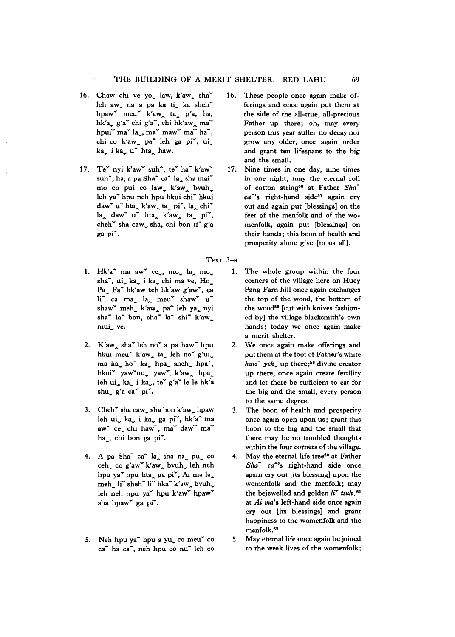- 16. Chaw chi ve yo law, k'aw, sha leh aw, na a pa ka ti, ka sheh hpaw<sup>Y</sup> meu<sup>Y</sup> k'aw<sub>A</sub> ta\_ g'a, ha, hk'a\_ g'a chi g'a", chi hk'aw\_ ma hpui ma la, ma maw ma ha, chi co k'aw, paî leh ga pi", ui, ka, i ka, u<sup>-</sup> hta, haw.
- 17. Te<sup>v</sup> nyi k'aw<sup>v</sup> suh<sup>^</sup>, te<sup>v</sup> ha<sup>-</sup> k'aw' suh<sup>^</sup>, ha, a pa Sha<sup>-</sup> ca^ la\_ sha mai<sup>-</sup> mo co pui co law, k'aw, bvuh, leh ya $\checkmark$  hpu neh hpu hkui chi $\checkmark$  hkui daw  $u^-$  hta<sub>A</sub> k'aw<sub>A</sub> ta\_ pi ', la<sub>A</sub> chi la\_ daw u<sup>-</sup> hta\_ k'aw\_ ta\_ pi", cheh<sup>Y</sup> sha caw, sha, chi bon ti g'a ga pi<sup>x</sup>.
	- 1. Hk'a<sup> $\hat{ }$ </sup> ma aw $\check{ }$  ce<sub>r</sub>, mo<sub>r</sub> la<sub>n</sub> mo<sub>r</sub> sha", ui, ka, i ka, chi ma ve, Ho\_ Pa\_ Fa hk'aw teh hk'aw g'aw", ca li<sup>-</sup> ca ma\_ la\_ meu shaw u<sup>-</sup> shaw meh\_ k'aw\_ pa^ leh ya\_ nyi

sha" la^ bon, sha" la^ shi" k'aw

mui, ve.

- 2. K'aw, sha leh no a pa haw" hpu hkui meu k'aw, ta\_ leh no g'ui ma ka\_ ho" ka\_ hpa\_ sheh\_ hpa", hkui yaw nu yaw k'aw, hpa\_ leh ui<sub>m</sub> ka<sub>v</sub> i ka<sub>v</sub>, te g'a le le hk'a shu\_ g'a ca pi'.
- 3. Cheh<sup>Y</sup> sha caw, sha bon k'aw, hpaw leh ui, ka, i ka, ga pi", hk'a<sup>^</sup> ma aw ce chi haw ', ma daw ma ha\_, chi bon ga pi<sup>v</sup>.
- 4. A pa Sha" ca<sup>^</sup> la sha na\_ pu\_ co ceh<sub>v</sub> co g'aw<sup>x</sup> k'aw<sub>A</sub> bvuh<sub>v</sub> leh neh hpu ya` hpu hta, ga pi`, Ai ma la, meh\_ li<sup>v</sup> sheh~ li<sup>v</sup> hka<sup>v</sup> k'aw\_ bvuh\_ leh neh hpu ya' hpu k'aw' hpaw' sha hpaw ga pi".
- 5. Neh hpu ya<sup>x</sup> hpu a yu co meu<sup>x</sup> co ca<sup>-</sup> ha ca<sup>-</sup>, neh hpu co nu leh co
- 16. These people once again make offerings and once again put them at the side of the all-true, all-precious Father up there; oh, may every person this year suffer no decay nor grow any older, once again order and grant ten lifespans to the big and the small.
- 17. Nine times in one day, nine times in one night, may the eternal roll of cotton string58 at Father *Sha* ca<sup>2</sup>'s right-hand side<sup>57</sup> again cry out and again put [blessings] on the feet of the menfolk and of the womenfolk, again put [blessings] on their hands; this boon of health and prosperity alone give [to us all].
- Техт 3-в
	- 1. The whole group within the four corners of the village here on Huey Pang Farn hill once again exchanges the top of the wood, the bottom of the wood<sup>58</sup> [cut with knives fashioned by] the village blacksmith's own hands; today we once again make a merit shelter.
	- We once again make offerings and put them at the foot of Father's white haw<sup>-</sup> yeh<sub>v</sub> up there;<sup>59</sup> divine creator up there, once again create fertility and let there be sufficient to eat for the big and the small, every person to the same degree.
	- 3. The boon of health and prosperity once again open upon us; grant this boon to the big and the small that there may be no troubled thoughts within the four corners of the village.
	- 4. May the eternal life tree<sup>60</sup> at Father *Sha" ca^\*s* right-hand side once again cry out [its blessing] upon the womenfolk and the menfolk; may the bejewelled and golden  $li^*$  *tsuh*<sup>61</sup> at *Ai ma's* left-hand side once again cry out [its blessings] and grant happiness to the womenfolk and the menfolk.62
	- May eternal life once again be joined 5. to the weak lives of the womenfolk;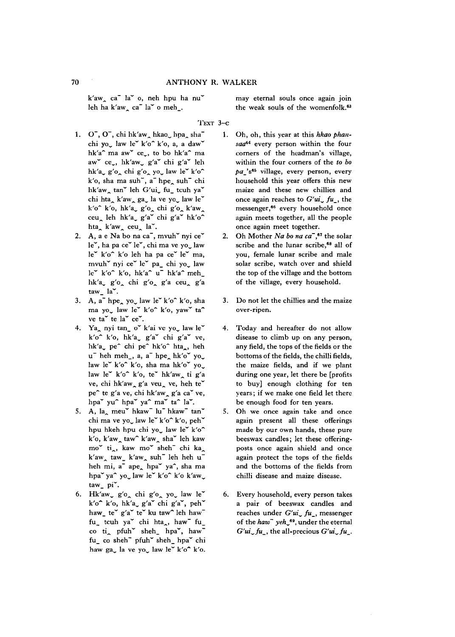k'aw, ca<sup>-</sup> la<sup>o</sup> o, neh hpu ha nu<sup>o</sup> leh ha k'aw\_ ca<sup>-</sup> la<sup>v</sup> o meh\_.

may eternal souls once again join the weak souls of the womenfolk.<sup>63</sup>

TEXT  $3-c$ 

- 1.  $O^-, O^-,$  chi hk'aw, hkao, hpa, sha<sup>-</sup> 1. chi yo, law le<sup>v</sup> k'o<sup>^</sup> k'o, a, a daw hk'a<sup>^</sup> ma aw<sup>v</sup> ce<sub>v</sub>, to bo hk'a<sup>^</sup> ma aw<sup>v</sup> ce<sub>v</sub>, hk'aw<sub>v</sub> g'a<sup>v</sup> chi g'a<sup>v</sup> leh hk'a<sub>v</sub> g'o<sub>n</sub> chi g'o<sub>n</sub> yo<sub>v</sub> law le<sup>v</sup> k'o<sup>^</sup> k'o, sha ma suh", a" hpe\_ suh" chi hk'aw\_ tan" leh G'ui\_ fu\_ tcuh ya" chi hta, k'aw, ga, la ve yo, law le $\checkmark$ k'o<sup>^</sup> k'o, hk'a<sub>v</sub> g'o<sub>^</sub> chi g'o<sub>^</sub> k'aw<sub>^</sub> ceu<sub>a</sub> leh hk'a<sub>v</sub> g'a" chi g'a" hk'o" hta k'aw ceu la<sup>y</sup>.
- 2. A, a e Na bo na ca<sup>-</sup>, mvuh nyi ce le", ha pa ce" le", chi ma ve yo law le<sup>v</sup> k'o<sup>^</sup> k'o leh ha pa ce<sup>v</sup> le<sup>v</sup> ma, mvuh" nyi ce" le" pa\_ chi yo\_ law le<sup>v</sup> k'o^ k'o, hk'a^ u<sup>-</sup> hk'a^ meh\_ hk'a<sub>v</sub> g'o chi g'o g'a ceu g'a taw\_la
- 3. A, a hpe<sub>x</sub> yo<sub>v</sub> law le k'o^ k'o, sha ma yo law le' k'o' k'o, yaw ta' ve ta te la ce".
- 4. Ya, nyi tan\_ o k'ai ve yo law le k'o<sup>^</sup> k'o, hk'a<sub>v</sub> g'a<sup>v</sup> chi g'a<sup>v</sup> ve, hk'a, pe^ chi pe^ hk'o^ hta, heh u<sup>-</sup> heh meh\_, a, a<sup>-</sup> hpe<sub>^</sub> hk'o yo\_ law le k'o k'o, sha ma hk'o yo\_ law le<sup>v</sup> k'o<sup>^</sup> k'o, te<sup>v</sup> hk'aw<sub>^</sub> ti g'a ve, chi hk'aw, g'a veu, ve, heh te pe<sup> $\degree$ </sup> te g'a ve, chi hk'aw\_ g'a ca $\degree$  ve, hpa" yu^ hpa" ya^ ma" ta^ la".
- 5. A,  $\ln_{\sim}$  meu hkaw<sup>-</sup> lu<sup>-</sup> hkaw<sup>-</sup> tan chi ma ve yo law le<sup>x</sup> k'o^ k'o, peh<sup>x</sup> hpu hkeh hpu chi yo law le k'o^ k'o, k'aw taw k'aw sha leh kaw mo ti<sub>o</sub>, kaw mo sheh<sup>-</sup> chi ka<sub>o</sub> k'aw<sub>a</sub> taw\_ k'aw<sub>a</sub> suh<sup>-</sup> leh heh u<sup>-</sup> heh mi, a" ape, hpa" ya", sha ma hpa<sup>v</sup> ya^ yo<sub>v</sub> law le<sup>v</sup> k'o^ k'o k'aw<sub>y</sub>  $taw$   $pi$ .
- 6. Hk'aw, g'o chi g'o yo law le k'o^ k'o, hk'a, g'a" chi g'a", peh" haw\_ te g'a te ku taw^ leh haw  $fu_{-}$  tcuh ya $\check{ }$  chi hta<sub>^</sub>, haw<sup>-</sup> fu\_ co ti\_ pfuh sheh\_ hpa ', haw fu\_ co sheh- pfuh" sheh\_\_ hpa^ chi haw ga<sub> $\sim$ </sub> la ve yo<sub> $\sim$ </sub> law le $\sim$  k'o<sup> $\sim$ </sup> k'o.
- Oh, oh, this year at this hkao phansaa<sup>64</sup> every person within the four corners of the headman's village, within the four corners of the *to bo pa*<sup>'s65</sup> village, every person, every household this year offers this new maize and these new chillies and once again reaches to  $G'ui \, fu$ , the messenger,66 every household once again meets together, all the people once again meet together.
- 2. Oh Mother *Na bo na ca*<sup>-,67</sup> the solar scribe and the lunar scribe,<sup>68</sup> all of you, female lunar scribe and male solar scribe, watch over and shield the top of the village and the bottom of the village, every household.
- 3. Do not let the chillies and the maize over-ripen.
- 4. Today and hereafter do not allow disease to climb up on any person, any field, the tops of the fields or the bottoms of the fields, the chilli fields, the maize fields, and if we plant during one year, let there be [profits to buy] enough clothing for ten years; if we make one field let there be enough food for ten years.
- 5. Oh we once again take and once again present all these offerings made by our own hands, these pure beeswax candles; let these offeringposts once again shield and once again protect the tops of the fields and the bottoms of the fields from chilli disease and maize disease.
- 6. Every household, every person takes a pair of beeswax candles and reaches under *G'ui*  $fu$ , messenger of the *haw* yeh 69, under the eternal  $G'ui^{\dagger}_{\sim} fu^{\dagger}_{\sim}$ , the all-precious  $G'ui^{\dagger}_{\sim} fu^{\dagger}_{\sim}$ .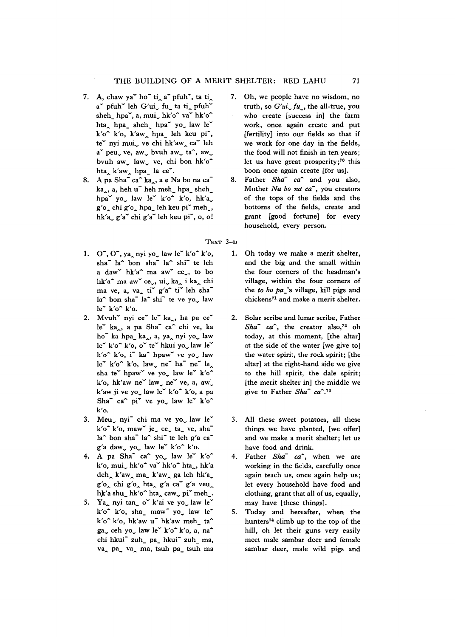- 7. A, chaw ya $\check{ }$  ho<sup> $\check{ }$ </sup> ti<sub>a</sub>  $\check{ }$  pfuh $\check{ }$ , ta ti<sub>a</sub> a pfuh leh G'ui, fu\_ ta ti, pfuh sheh\_hpa", a, mui\_hk'o^ va" hk'o^ hta<sub>2</sub> hpa\_ sheh hpa yo law le *k'*o<sup> $\hat{h}$ </sup> k'o, k'aw hpa leh keu pi<sup>\*</sup>, te<sup>o</sup> nyi mui, ve chi hk'aw<sub>a</sub> ca leh  $a^{\times}$  peu, ve, aw, bvuh aw, ta<sup>^</sup>, aw, bvuh awy lawy ve, chi bon hk'o^ hta, k'aw, hpa\_ la ce '.
- 8. A pa Sha<sup>-</sup> ca<sup>^</sup> ka<sub>0</sub>, a e Na bo na ca<sup>-</sup>  $ka_{\rightarrow}$ , a, heh u $^-$  heh meh\_ hpa\_ sheh\_ hpa<sup>v</sup> yo<sub>v</sub> law le<sup>v</sup> k'o<sup>^</sup> k'o, hk'a<sub>v</sub> g'o, chi g'o, hpa\_ leh keu pi meh\_, hk'a\_ g'a<sup>x</sup> chi g'a<sup>x</sup> leh keu pi<sup>x</sup>, o, o!
- 1.  $O^-, O^-,$  ya, nyi yo, law le<sup>x</sup> k'o<sup>^</sup> k'o, sha la^ bon sha la^ shi te leh a daw hk'a<sup> $\hat{ }$ </sup> ma aw ce<sub>v</sub>, to bo hk'a<sup>^</sup> ma aw<sup>v</sup> ce<sub>v</sub>, ui, ka<sub>A</sub> i ka<sub>A</sub> chi ma ve, a, va, ti g'a ti leh sha la<sup>^</sup> bon sha<sup>-</sup> la<sup>^</sup> shi<sup>-\*</sup> te ve yo<sub>v</sub> law le $\check{ }$  k'o $\hat{ }$ k'o.
- 2. Mvuh $^{\circ}$  nyi ce $^{\circ}$  le $^{\circ}$  ka<sub>^</sub>, ha pa ce $^{\circ}$ le<sup>v</sup> ka, a pa Sha" ca<sup>o</sup> chi ve, ka ho<sup>-</sup> ka hpa\_ ka<sub>^</sub>, a, ya<sub>^</sub> nyi yo<sub>v</sub> law le<sup>v</sup> k'o<sup>^</sup> k'o, o<sup>v</sup> te<sup>v</sup> hkui yo<sub>v</sub> law le<sup>v</sup>  $k'o^* k'o$ , i ka<sup>\*</sup> hpaw ve yo<sub>v</sub> law  $le^*$  k'o^ k'o, law, ne $^*$  ha $^-$  ne $^*$  la sha te<sup>\*</sup> hpaw<sup>\*</sup> ve yo<sub>v</sub> law le<sup>\*</sup> k'o<sup>^</sup> k'o, hk'aw ne law, ne ve, a, aw, k'aw ji ve yo, law le<sup>x</sup> k'o^ k'o, a pa Sha $\bar{a}$  ca $\hat{p}$  pi $\bar{y}$  ve yo law le $\bar{y}$  k'o $\hat{a}$ k'o.
- 3. Meu $\sim$  nyi<sup>-</sup> chi ma ve yo $\sim$  law le<sup> $\sim$ </sup> k'o k'o, maw je, ce, ta\_ ve, sha la^ bon sha<sup>-</sup> la^ shi<sup>-</sup> te leh g'a ca g'a daw<sub>v</sub> yo<sub>v</sub> law le<sup>x</sup> k'o<sup>^</sup> k'o.
- 4. A pa Sha<sup>+</sup> ca<sup>^</sup> yo law le<sup>x</sup> k'o<sup>^</sup> k'o, mui, hk'o^ va hk'o^ hta,, hk'a deh, k'aw, ma\_ k'aw, ga leh hk'a g'o<sub>A</sub> chi g'o<sub>A</sub> hta<sub>A</sub> g'a ca<sup>Y</sup> g'a veu<sub>A</sub>  $h$ k'a shu\_  $hk'$ o^ hta\_ caw\_ pi meh\_.
- 5. Ya<sub> $\lambda$ </sub> nyi tan\_ o k'ai ve yo law le  $k'o^*$  k'o, sha\_ maw<sup>-</sup> yo\_ law le<sup>\*</sup> k'o^ k'o, hk'aw u<sup>-</sup> hk'aw meh\_ ta^ ga<sub>v</sub> ceh yo<sub>v</sub> law le<sup>x</sup> k'o<sup>\*</sup> k'o, a, na<sup>\*</sup> chi hkui zuh\_ pa\_ hkui zuh\_ ma, va<sub>2</sub> pa\_ va<sub>2</sub> ma, tsuh pa\_ tsuh ma
- 7. Oh, we people have no wisdom, no truth, so  $G'ui^f_*$  the all-true, you who create [success in] the farm work, once again create and put [fertility] into our fields so that if we work for one day in the fields, the food will not finish in ten years; let us have great prosperity;<sup>70</sup> this boon once again create [for us].
- 8. Father *Sha~ ca"* and you also, Mother *Na bo na ca*, you creators of the tops of the fields and the bottoms of the fields, create and grant [good fortune] for every household, every person.
- TEXT 3-D
	- $1.$ Oh today we make a merit shelter, and the big and the small within the four corners of the headman's village, within the four corners of the *to bo pa*'s village, kill pigs and chickens71 and make a merit shelter.
	- *2.* Solar scribe and lunar scribe, father Sha<sup>-</sup> ca<sup>^</sup>, the creator also,<sup>72</sup> oh today, at this moment, [the altar] at the side of the water [we give to] the water spirit, the rock spirit; [the altar] at the right-hand side we give to the hill spirit, the dale spirit; [the merit shelter in] the middle we give to Father *Sha*<sup>-</sup> ca<sup>^</sup>.<sup>73</sup>
	- 3. All these sweet potatoes, all these things we have planted, [we offer] and we make a merit shelter; let us have food and drink.
	- 4. Father *Sha<sup>-ca^</sup>*, when we are working in the fields, carefully once again teach us, once again help us; let every household have food and clothing, grant that all of us, equally, may have [these things].
	- 5. Today and hereafter, when the hunters74 climb up to the top of the hill, oh let their guns very easily meet male sambar deer and female sambar deer, male wild pigs and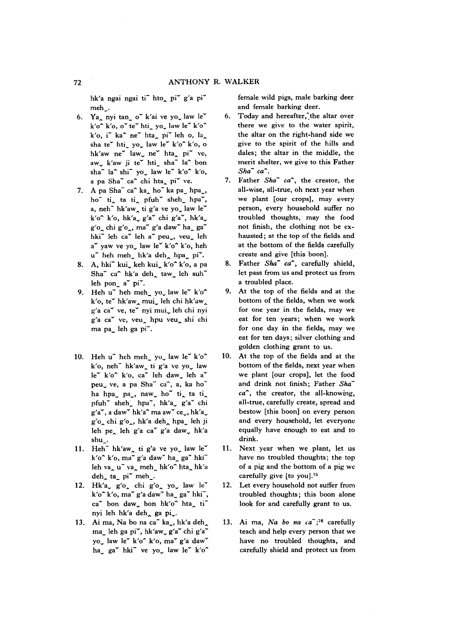hk'a ngai ngai ti<sup>-</sup> hto<sub>,</sub> pi<sup>y</sup> g'a pi<sup>y</sup> meh

- 6. Ya, nyi tan\_  $o^*$  k'ai ve yo, law le 6. k'o^ k'o, o<sup>v</sup> te<sup>v</sup> hti\_ yo\_ law le<sup>v</sup> k'o^ k'o, i<sup>-</sup> ka<sup>^</sup> ne<sup>v</sup> hta<sub>n</sub> pi<sup>v</sup> leh o, la<sub>n</sub> sha te $^{\circ}$  hti\_ yo\_ law le $^{\circ}$  k'o $^{\circ}$  k'o, o hk'aw ne law, ne hta, pi vc, aw, k'aw ji te" hti\_ sha" la^ bon sha<sup>-</sup> la<sup>^</sup> shi<sup>-</sup> yo<sub>v</sub> law le<sup>v</sup> k'o<sup>^</sup> k'o, a pa Sha" ca^ chi hta, pi ve.
- 7. A pa Sha<sup>-</sup> ca<sup>^</sup> ka, ho<sup>-</sup> ka pa\_ hpa\_, ho ti, ta ti, pfuh sheh\_ hpa a, neh<sup>-</sup> hk'aw<sub>^</sub> ti g'a ve yo<sub>^</sub> law le<sup>y</sup> k'o^ k'o, hk'a g'a chi g'a ', hk'a g'o, chi g'o,, ma g'a daw ha\_ ga hki<sup>-</sup> leh ca<sup>x</sup> leh a<sup>x</sup> peu, veu, leh *2T* yaw ve yo^ law le^ k'o, heh u<sup>-</sup> heh meh\_ hk'a deh\_ hpa\_ pi .
- 8. A, hki<sup>-</sup> kui, keh kui, k'o<sup>^</sup> k'o, a pa Sha" ca<sup>^</sup> hk'a deh taw leh suh<sup>-</sup> leh pon\_a pi .
- 9. Heh u<sup>-</sup> heh meh\_ yo<sub>v</sub> law le<sup>x</sup> k'o<sup>^</sup> k'o, te<sup>\*</sup> hk'aw, mui, leh chi hk'aw, g'a ca^ ve, te^ nyi mui^, leh chi nyi g'a ca" ve, veu. hpu veu. shi chi ma pa\_ leh ga pi<sup>x</sup>.
- 10. Heh u<sup>-</sup> heh meh\_ yo<sub>v</sub> law le<sup> $\times$ </sup> k'o<sup>^</sup> k'o, neh hk'aw, ti g'a ve yo, law le<sup>v</sup> k'o^ k'o, cav leh daw<sub>v</sub> leh a peu, ve, a pa Sha<sup>-</sup> ca<sup>^</sup>, a, ka ho<sup>-</sup> ha hpa\_ pa\_, naw\_ ho" ti\_ ta ti\_ pfuh<sup>v</sup> sheh' hpa'', hk'a g'a' chi  $g'a^{\prime}$ , a daw $\check{ }$  hk'a $\hat{ }$  ma aw $\check{ }$  ce<sub>v</sub>, hk'a<sub>v</sub> g'o, chi g'o, hk'a deh, hpa\_ leh ji leh pe, leh g'a ca g'a daw, hk'a shu\_.
- 11. Heh<sup>-</sup> hk'aw<sub>A</sub> ti g'a ve yo<sub>v</sub> law le<sup> $\sim$ </sup> k'o^ k'o, ma` g'a daw` ha\_ ga` hki leh va, u™ va, meh\_ hk'o^ hta, hk'a  $deh_{\lambda}$  ta\_ pi meh\_.
- 12. Hk'a<sub>v</sub> g'o<sub>A</sub> chi g'o<sub>A</sub> yo<sub>v</sub> law le<sup> $\sim$ </sup>  $k'o^k$  k'o, ma $v'g'a$  daw $v'$  ha\_ ga $v'$  hki<sup>-</sup>, ca<sup>y</sup> bon daw, bon hk'o<sup>^</sup> hta, ti<sup>-</sup> nyi leh hk'a deh, ga pi,
- 13. Ai ma, Na bo na ca $\bar{a}$  ka, hk'a deh ma\_ leh ga pi>, hk'aw\_ g'a> chi g'a yo\_ law le<sup>v</sup> k'o^ k'o, ma<sup>v</sup> g'a daw ha\_ ga<sup>v</sup> hki<sup>-</sup> ve yo\_ law le<sup>v</sup> k'o<sup>^</sup>

female wild pigs, male barking deer and female barking deer.

- Today and hereafter, the altar over there we give to the water spirit, the altar on the right-hand side wc give to the spirit of the hills and dales; the altar in the middle, the merit shelter, we give to this Father Sha<sup>-</sup> ca<sup>^</sup>.
- 7. Father *Sha*<sup>-</sup> ca<sup>^</sup>, the creator, the all-wise, all-true, oh next year when we plant [our crops], may every person, every household suffer no troubled thoughts, may the food not finish, the clothing not be exhausted ; at the top of the fields and at the bottom of the fields carefully create and give [this boon].
- 8. Father *Sha* ca<sup>^</sup>, carefully shield, let pass from us and protect us from a troubled place.
- At the top of the fields and at the bottom of the fields, when we work for one year in the fields, may we eat for ten years; when we work for one day in the fields, may we eat for ten days; silver clothing and golden clothing grant to us.
- At the top of the fields and at the bottom of the fields, next year when we plant [our crops], let the food and drink not finish; Father *Sha~ ca^t* the creator, the all-knowing, all-true, carefully create, spread and bestow [this boon] on every person and every household, let everyone equally have enough to eat and to drink.
- 11. Next year when we plant, let us have no troubled thoughts; the top of a pig and the bottom of a pig wc carefully give [to you].75
- 12. Let every household not suffer from troubled thoughts; this boon alone look for and carefully grant to us.
- 13. Ai ma, *Na bo na*  $(a^{\dagger})^{76}$  carefully teach and help every person that we have no troubled thoughts, and carefully shield and protect us from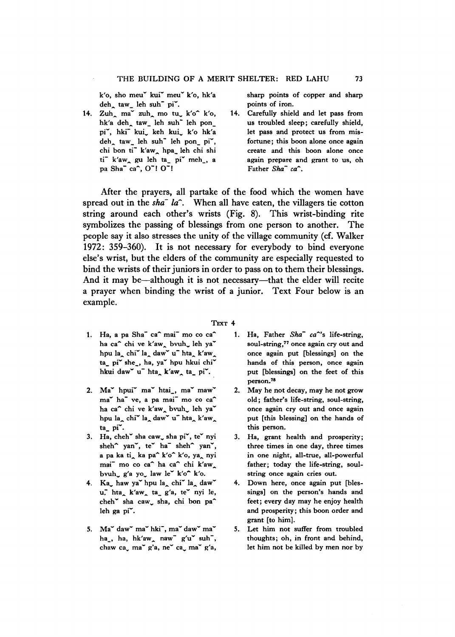k'o, sho meu<sup>x</sup> kui<sup>x</sup> meu<sup>x</sup> k'o, hk'a deh taw leh suh<sup>-</sup> pi<sup>x</sup>.

14. Zuh<sub>a</sub> ma zuh<sub>a</sub> mo tu, k'o <sup>^</sup> k'o, hk'a deh<sub>^</sub> taw\_ leh suh<sup>\*</sup> leh pon pi", hki<sup>-</sup> kui\_ keh kui\_ k'o hk'a deh, taw\_ leh suh" leh pon\_ pi", chi bon ti" k'aw, hpa\_ leh chi shi ti<sup>-</sup> k'aw<sub>A</sub> gu leh ta\_ pi<sup>Y</sup> meh\_, a pa Sha<sup>-</sup> ca<sup>^</sup>, O<sup>-</sup>! O<sup>-</sup>!

sharp points of copper and sharp points of iron.

14. Carefully shield and let pass from us troubled sleep; carefully shield, let pass and protect us from misfortune; this boon alone once again create and this boon alone once again prepare and grant to us, oh Father *Sha*<sup>-</sup> ca<sup>^</sup>.

After the prayers, all partake of the food which the women have spread out in the *sha* la<sup>2</sup>. When all have eaten, the villagers tie cotton string around each other's wrists (Fig. 8). This wrist-binding rite symbolizes the passing of blessings from one person to another. The people say it also stresses the unity of the village community (cf. Walker 1972: 359-360). It is not necessary for everybody to bind everyone else's wrist, but the elders of the community are especially requested to bind the wrists of their juniors in order to pass on to them their blessings. And it may be—although it is not necessary—that the elder will recite a prayer when binding the wrist of a junior. Text Four below is an example.

#### TEXT 4

- 1. Ha, a pa  $Sha^-$  ca<sup> $\text{mai}^-$  mo co ca $\text{ca}^-$ </sup> ha ca^ chi ve k'aw, bvuh, leh ya hpu la\_ chi la\_ daw u- hta\_ k'aw\_ ta\_ pi she\_, ha, ya hpu hkui chi hkui daw  $u^-$  hta<sub>k</sub> k'aw ta\_ pi".
- 2. Ma' hpui' ma' htai\_, ma' maw' ma" ha" ve, a pa mai" mo co ca" ha ca^ chi ve k'aw, bvuh, leh ya hpu la\_chi la\_daw u" hta\_k'aw\_  $ta$  pi<sup> $\checkmark$ </sup>.
- 3. Ha, cheh sha caw, sha pi ', te' nyi sheh $\hat{}$  yan", te $\check{}$  ha $\hat{}$  sheh $\hat{}$  yan", a pa ka ti, ka pa^ k'o^ k'o, ya, nyi mai mo co ca<sup>^</sup> ha ca<sup>^</sup> chi k'aw bvuh, g'a yo, law le<sup>v</sup> k'o<sup>^</sup> k'o.
- 4. Ka, haw ya hpu la, chi la, daw u, hta k'aw ta g'a, te nyi le, cheh<sup>v</sup> sha caw<sub>v</sub> sha, chi bon pa^ leh ga pi".
- 5. Ma daw ma hki, ma daw ma ha\_, ha, hk'aw\_ naw<sup>-</sup>  $g'u'$  suh<sup>-</sup>, chaw ca\_ ma $\degree$  g'a, ne $\degree$  ca\_ ma $\degree$  g'a,
- 1. Ha, Father *Sha*<sup>*ca*<sup>2</sup>'s life-string,</sup> soul-string,<sup>77</sup> once again cry out and once again put [blessings] on the hands of this person, once again put [blessings] on the feet of this person.78
- 2. May he not decay, may he not grow old; father's life-string, soul-string, once again cry out and once again put [this blessing] on the hands of this person.
- 3. Ha, grant health and prosperity; three times in one day, three times in one night, all-true, all-powerful father; today the life-string, soulstring once again cries out.
- 4. Down here, once again put [blessings] on the person's hands and feet; every day may he enjoy health and prosperity; this boon order and grant [to him].
- 5. Let him not suffer from troubled thoughts; oh, in front and behind, let him not be killed by men nor by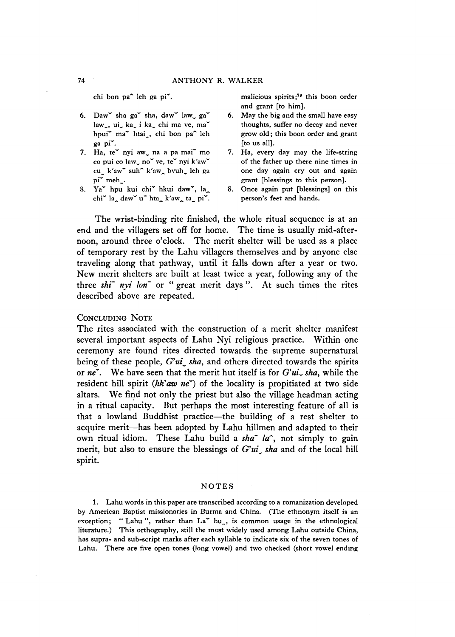chi bon pa<sup>^</sup> leh ga pi<sup>y</sup>.

- 6. Daw sha ga sha, daw law ga law,, ui, ka, i ka, chi ma ve, ma hpui" ma" htai, chi bon pa<sup>n</sup> leh ga pi<sup>x</sup>.
- 7. Ha, te<sup>\*</sup> nyi aw na a pa mai<sup>\*</sup> mo co pui co law, no ve, te nyi k'aw cu\_ k'aw" suh" k'aw\_ bvuh\_ leh ga pi^ meh\_.
- 8. Ya hpu kui chi hkui daw, la chi  $la_a$  daw  $u^-$  hta k'aw ta\_ pi".

malicious spirits;<sup>79</sup> this boon order and grant [to him].

- 6. May the big and the small have easy thoughts, suffer no decay and never grow old; this boon order and grant [to us all].
- 7. Ha, every day may the life-string of the father up there nine times in one day again cry out and again grant [blessings to this person].
- 8. Once again put [blessings] on this person's feet and hands.

The wrist-binding rite finished, the whole ritual sequence is at an end and the villagers set off for home. The time is usually mid-afternoon, around three o'clock. The merit shelter will be used as a place of temporary rest by the Lahu villagers themselves and by anyone else traveling along that pathway, until it falls down after a year or two. New merit shelters are built at least twice a year, following any of the three *shi*<sup>-</sup> nyi lon<sup>-</sup> or " great merit days ". At such times the rites described above are repeated.

## CONCLUDING NOTE

The rites associated with the construction of a merit shelter manifest several important aspects of Lahu Nyi religious practice. Within one ceremony are found rites directed towards the supreme supernatural being of these people, *G'ui* sha, and others directed towards the spirits or *ne*". We have seen that the merit hut itself is for *G'ui*, sha, while the resident hill spirit *(hk'aw ne*) of the locality is propitiated at two side altars. We find not only the priest but also the village headman acting in a ritual capacity. But perhaps the most interesting feature of all is that a lowland Buddhist practice—the building of a rest shelter to acquire merit—has been adopted by Lahu hillmen and adapted to their own ritual idiom. These Lahu build a *sha* la<sup>2</sup>, not simply to gain merit, but also to ensure the blessings of *G'ui sha* and of the local hill spirit.

#### NOTES

1. Lahu words in this paper are transcribed according to a romanization developed by American Baptist missionaries in Burma and China. (The ethnonym itself is an exception; "Lahu", rather than La<sup>x</sup> hu\_, is common usage in the ethnological literature.) This orthography, still the most widely used among Lahu outside China, has supra- and sub-script marks after each syllable to indicate six of the seven tones of Lahu. There are five open tones (long vowel) and two checked (short vowel ending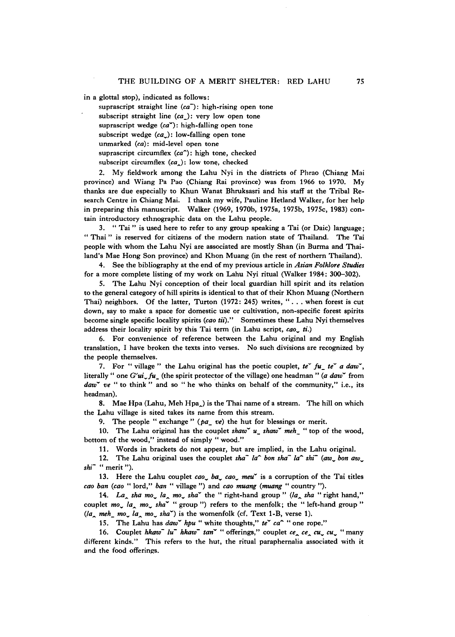in a glottal stop), indicated as follows:

suprascript straight line  $(ca^-)$ : high-rising open tone subscript straight line (ca<sub>1</sub>): very low open tone

suprascript wedge *(ca*^): high-falling open tone

subscript wedge  $(ca)$ : low-falling open tone

unmarked *(ca):* mid-level open tone

suprascript circumflex *{ca*'): high tone, checked

subscript circumflex *(ca*^): low tone, checked

2. My fieldwork among the Lahu Nyi in the districts of Phrao (Chiang Mai province) and Wiang Pa Pao (Chiang Rai province) was from 1966 to 1970. My thanks are due especially to Khun Wanat Bhruksasri and his staff at the Tribal Research Centre in Chiang Mai. I thank my wife, Pauline Hetland Walker, for her help in preparing this manuscript. Walker (1969, 1970b, 1975a, 1975b, 1975c, 1983) contain introductory ethnographic data on the Lahu people.

3. " Tai " is used here to refer to any group speaking a Tai (or Daic) language; " Thai " is reserved for citizens of the modern nation state of Thailand. The Tai people with whom the Lahu Nyi are associated are mostly Shan (in Burma and Thailand's Mae Hong Son province) and Khon Muang (in the rest of northern Thailand).

4. See the bibliography at the end of my previous article in *Asian Folklore Studies* for a more complete listing of my work on Lahu Nyi ritual (Walker 1984: 300-302).

5. The Lahu Nyi conception of their local guardian hill spirit and its relation to the general category of hill spirits is identical to that of their Khon Muang (Northern Thai) neighbors. Of the latter, Turton (1972: 245) writes, "... when forest is cut down, say to make a space for domestic use or cultivation, non-specific forest spirits become single specific locality spirits *(cao tii).*" Sometimes these Lahu Nyi themselves address their locality spirit by this Tai term (in Lahu script, *cao* ti.)

6. For convenience of reference between the Lahu original and my English translation, I have broken the texts into verses. No such divisions are recognized by the people themselves.

7. For " village " the Lahu original has the poetic couplet,  $te^x f u$   $te^x a daw^y$ , literally " one *G'ui*, fu<sub>-</sub> (the spirit protector of the village) one headman " *(a daw* from daw<sup> $\sigma$ </sup> ve " to think " and so " he who thinks on behalf of the community," i.e., its headman).

8. Mae Hpa (Lahu, Meh Hpa<sub>c</sub>) is the Thai name of a stream. The hill on which the Lahu village is sited takes its name from this stream.

9. The people " exchange " *(pa\_ ve)* the hut for blessings or merit.

10. The Lahu original has the couplet *shaw*  $u<sub>z</sub>$  *shaw* meh<sub>z</sub> " top of the wood, bottom of the wood," instead of simply " wood."

11 . Words in brackets do not appear, but are implied, in the Lahu original.

12. The Lahu original uses the couplet sha<sup>-</sup> la<sup>^</sup> bon sha<sup>-</sup> la<sup>^</sup> shi<sup>-</sup> (aw<sub>~</sub> bon aw<sub>}</sub> *shi*<sup>-</sup> " merit ").

13. Here the Lahu couplet  $cao^{\mathcal{}}$  *ba*  $cao^{\mathcal{}}$  *meu* is a corruption of the Tai titles *cao ban (cao* "lord," *ban* " village") and *cao muang (muang* " country").

14. *La<sub>p</sub>* sha mo<sub>v</sub> la<sub>p</sub> mo<sub>v</sub> sha<sup>v</sup> the " right-hand group " *(la<sub>p</sub>* sha " right hand," couplet  $mo^{\dagger}$  la<sub>n</sub>  $mo^{\dagger}$  sha<sup>r</sup> " group ") refers to the menfolk; the " left-hand group "  $(la \text{ m}eh \text{ mo}$  *la. mo<sub>r</sub>* sha<sup>x</sup>) is the womenfolk (cf. Text 1-B, verse 1).

15. The Lahu has *daw* hpu " white thoughts,"  $te^x$  ca<sup>2</sup> " one rope."

16. Couplet *hkaw<sup>-</sup> lu<sup>-</sup> hkaw<sup>-</sup> tan<sup>y</sup> " offerings," couplet <i>ce ce cu cu* " many different kinds." This refers to the hut, the ritual paraphernalia associated with it and the food offerings.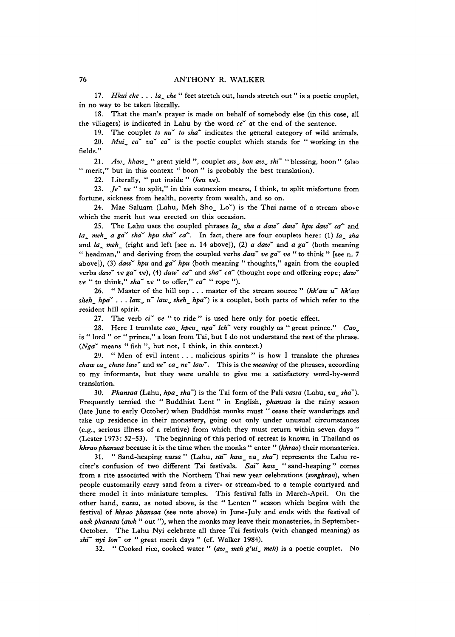17. *Hkui che* . . . *la*, *che* " feet stretch out, hands stretch out " is a poetic couplet, in no way to be taken literally.

18. That the man's prayer is made on behalf of somebody else (in this case, all the villagers) is indicated in Lahu by the word *ce^* at the end of the sentence.

19. The couplet *to nu* to sha<sup>2</sup> indicates the general category of wild animals.

20. *Mui<sub>v</sub>*  $ca^{\prime}$  va<sup> $\prime$ </sup> ca<sup> $\prime$ </sup> is the poetic couplet which stands for " working in the fields."

21. *Aw, hkaw* " great yield ", couplet *aw, bon aw, shi*<sup>-</sup> " blessing, boon " (also " merit," but in this context " boon " is probably the best translation).

22. Literally, " put inside " *(keu ve).*

23. *Je*  $ve$  " to split," in this connexion means, I think, to split misfortune from fortune, sickness from health, poverty from wealth, and so on.

24. Mae Saluam (Lahu, Meh Sho $\sim$  Lo $\degree$ ) is the Thai name of a stream above which the merit hut was erected on this occasion.

25. The Lahu uses the coupled phrases *la<sub>s</sub>* sha a daw daw hpu daw ca<sup>n</sup> and *la*, meh\_ a ga<sup> $\sigma$ </sup> sha<sup> $\sigma$ </sup> hpu sha $\sigma$  ca<sup> $\sigma$ </sup>. In fact, there are four couplets here: (1) *la*, sha and *la*<sub>n</sub> meh<sub></sub> (right and left [see n. 14 above]), (2) *a daw* and *a ga* (both meaning " headman," and deriving from the coupled verbs  $daw^{\prime}$  ve ga<sup>y</sup> ve " to think " [see n. 7] above]), (3)  $daw^*$  hpu and  $ga^*$  hpu (both meaning "thoughts," again from the coupled verbs *daw<sup>"</sup> ve ga<sup>"</sup> ve*), (4) *daw<sup>"</sup> ca*<sup> $\alpha$ </sup> and *sha<sup>"</sup> ca*<sup> $\alpha$ </sup> (thought rope and offering rope; *daw*<sup>"</sup> *ve* " to think," *sha*<sup>*v*</sup> *ve* " to offer," *ca*<sup> $\alpha$ </sup> " rope ").

26. " Master of the hill top . . . master of the stream source " *(hk'aw u* hk'aw  $sheh_{\perp}$  *hpa*<sup> $\sim$ </sup> . . . *law*  $\sim$  *u*<sup> $\sim$ </sup> *law* sheh hpa<sup> $\sim$ </sup>) is a couplet, both parts of which refer to the resident hill spirit.

27. The verb  $c_i^{\prime\prime}$  *ve* " to ride " is used here only for poetic effect.

28. Here I translate *cao<sub>v</sub>* hpeu<sub>n</sub> nga leh<sup>-</sup> very roughly as " great prince." *Cao<sub>v</sub>* is " lord " or " prince," a loan from Tai, but I do not understand the rest of the phrase. *(Nga*<sup> $\sim$ </sup> means " fish ", but not, I think, in this context.)

29. " Men of evil intent . . . malicious spirits " is how I translate the phrases *chaw ca<sub>x</sub> chaw law* and  $ne^{\times}$  *ca<sub>x</sub>*  $ne^{\times}$  *law* . This is the *meaning* of the phrases, according to my informants, but they were unable to give me a satisfactory word-by-word translation.

30. *Phansaa* (Lahu, *hpa shcT)* is the Tai form of the Pali *vassa* (Lahu, *va\_ sha~).* Frequently termed the " Buddhist Lent " in English, *phansaa* is the rainy season (late June to early October) when Buddhist monks must " cease their wanderings and take up residence in their monastery, going out only under unusual circumstances (e.g., serious illness of a relative) from which they must return within seven days " (Lester 1973: 52-53). The beginning of this period of retreat is known in Thailand as *khrao phansaa* because it is the time when the monks " enter " *(khrao)* their monasteries.

31. " Sand-heaping vassa " (Lahu, sai kaw\_ va\_ sha<sup>-</sup>) represents the Lahu reciter's confusion of two different Tai festivals. *Sai kaw\_* " sand-heaping" comes from a rite associated with the Northern Thai new year celebrations *(songkran),* when people customarily carry sand from a river- or stream-bed to a temple courtyard and there model it into miniature temples. This festival falls in March-April. On the other hand, *vassa,* as noted above, is the " Lenten " season which begins with the festival of *khrao phansaa* (see note above) in June-July and ends with the festival of *awk phansaa (awk* " out "), when the monks may leave their monasteries, in September-October. The Lahu Nyi celebrate all three Tai festivals (with changed meaning) as shi<sup>"</sup> nyi lon<sup>"</sup> or " great merit days " (cf. Walker 1984).

32. " Cooked rice, cooked water " (aw\_ meh g'ui\_ meh) is a poetic couplet. No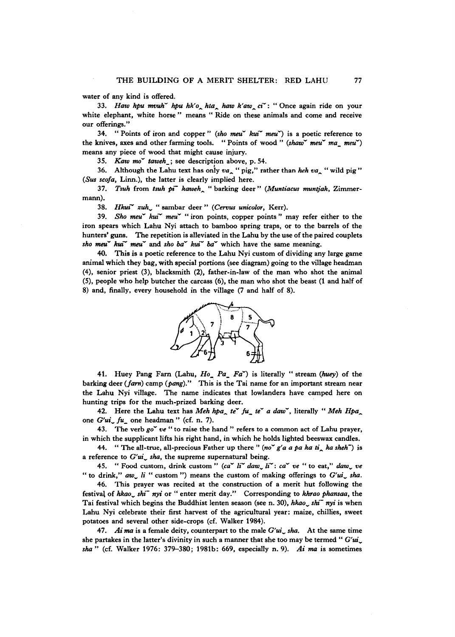water of any kind is offered.

33. *Haw hpu mvuh hpu hk'o* hta haw k'aw ci": " Once again ride on your white elephant, white horse" means "Ride on these animals and come and receive our offerings."

34. " Points of iron and copper " *(sho meu* kui meu) is a poetic reference to the knives, axes and other farming tools. " Points of wood " *(shaw^ meu' ma \_ metT)* means any piece of wood that might cause injury.

35. *Kaw mo* taweh ; see description above, p. 54.

36. Although the Lahu text has only *va^* " pig," rather than *heh va^* " wild pig " *(Sus scofa,* Linn.), the latter is clearly implied here.

37. Tsuh from *tsuh pi* kaweh, "barking deer" (Muntiacus muntjak, Zimmermann).

38. Hkui zuh, " sambar deer " *(Cervus unicolor*, Kerr).

39. *Sho meu* kui meu<sup>x</sup> " iron points, copper points,' may refer either to the iron spears which Lahu Nyi attach to bamboo spring traps, or to the barrels of the hunters' guns. The repetition is alleviated in the Lahu by the use of the paired couplets *sho meu kui* meu and *sho ba kui* ba which have the same meaning.

40. This is a poetic reference to the Lahu Nyi custom of dividing any large game animal which they bag, with special portions (see diagram) going to the village headman (4), senior priest (3), blacksmith (2), father-in-law of the man who shot the animal (5), people who help butcher the carcass (6), the man who shot the beast (1 and half of 8) and, finally, every household in the village (7 and half of 8).



41. Huey Pang Farn (Lahu, Ho<sub>n</sub> Pa<sub>n</sub> Fa<sup>x</sup>) is literally " stream (huey) of the barking deer *{fam)* camp *(pang)•"* This is the Tai name for an important stream near the Lahu Nyi village. The name indicates that lowlanders have camped here on hunting trips for the much-prized barking deer.

42. Here the Lahu text has *Meh hpa<sub>n</sub>* te<sup>\*</sup>  $fu_ + te^*$  a daw<sup>\*</sup>, literally " *Meh Hpa<sub>n</sub>* one *G'ui*, fu<sub>-</sub> one headman," (cf. n. 7).

43. The verb *go^ ve* " to raise the hand " refers to a common act of Lahu prayer, in which the supplicant lifts his right hand, in which he holds lighted beeswax candles.

44. " The all-true, all-precious Father up there "  $(no<sup>o</sup> g'a a pa ka ti<sub>o</sub> ka sheh<sup>-</sup>)$  is a reference to  $G'ui_{\checkmark}$  sha, the supreme supernatural being.

45. " Food custom, drink custom " (ca<sup>x</sup> li<sup>x</sup> daw, li<sup>x</sup>: ca<sup>x</sup> ve " to eat," daw, ve " to drink,"  $aw\_\, li$  " custom ") means the custom of making offerings to  $G'u\_\, sha$ .

46. This prayer was recited at the construction of a merit hut following the festival of *hkao* shi<sup>-</sup> nyi or " enter merit day." Corresponding to *khrao phansaa*, the Tai festival which begins the Buddhist lenten season (see n. 30), *hkao shi* nyi is when Lahu Nyi celebrate their first harvest of the agricultural year: maize, chillies, sweet potatoes and several other side-crops (cf. Walker 1984).

47. *Ai ma* is a female deity, counterpart to the male  $G'u_i$  sha. At the same time she partakes in the latter's divinity in such a manner that she too may be termed " $G'_{\mathbf{u}}$ <sup>'</sup> *sha* " (cf. Walker 1976: 379–380; 1981b: 669, especially n. 9). *Ai ma* is sometimes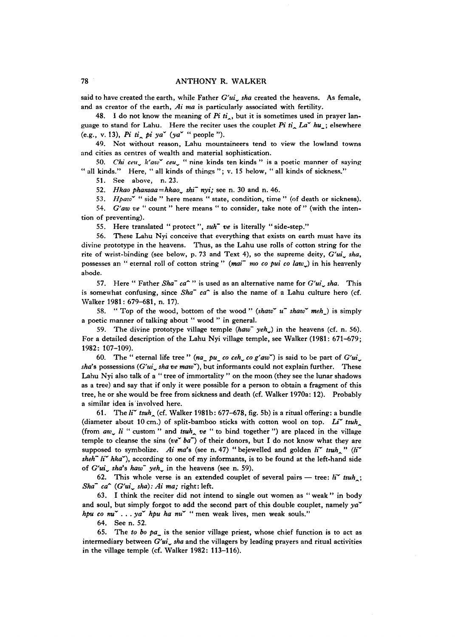said to have created the earth, while Father  $G'u$ , sha created the heavens. As female, and as creator of the earth, *Ai ma* is particularly associated with fertility.

48. I do not know the meaning of  $P_i$   $ti^{\prime}$ , but it is sometimes used in prayer language to stand for Lahu. Here the reciter uses the couplet *Pi*  $t_i^2$   $La^2$   $hu$ ; elsewhere (e.g., v. 13), *Pi ti, pi ya* (ya " people ").

49. Not without reason, Lahu mountaineers tend to view the lowland towns and cities as centres of wealth and material sophistication.

50. *Chi ceu, k'aw ceu,* " nine kinds ten kinds " is a poetic manner of saying " all kinds." Here, " all kinds of things "; v. 15 below, " all kinds of sickness."

51. See above, n. 23.

52. *Hkao phansaa=hkao shi* nyi; see n. 30 and n. 46.

53. *Hpaw*<sup>\*</sup> " side " here means " state, condition, time " (of death or sickness).

54. *G'aw ve* " count " here means " to consider, take note of " (with the intention of preventing).

55. Here translated " protect ", suh<sup>-</sup> ve is literally " side-step."

56. These Lahu Nyi conceive that everything that exists on earth must have its divine prototype in the heavens. Thus, as the Lahu use rolls of cotton string for the rite of wrist-binding (see below, p. 73 and Text 4), so the supreme deity, *G'ui*, sha, possesses an " eternal roll of cotton string " (mai<sup>-</sup> mo co pui co law) in his heavenly abode.

57. Here " Father *Sha<sup>-</sup> ca*<sup>^</sup> " is used as an alternative name for *G'ui*, sha. This is somewhat confusing, since  $Sha<sup>-</sup> ca<sup>+</sup>$  is also the name of a Lahu culture hero (cf. Walker 1981: 679–681, n. 17).

58. " Top of the wood, bottom of the wood " *(shaw*  $u^*$  shaw meh<sub>-</sub>) is simply a poetic manner of talking about " wood " in general.

59. The divine prototype village temple *(haw"' yehj)* in the heavens (cf. n. 56). For a detailed description of the Lahu Nyi village temple, see Walker (1981: 671-679; 1982: 107-109).

60. The " eternal life tree "  $(na_p u_2 \circ ceh_ \circ cgh_ \circ w)$  is said to be part of G'wi  $sha's$  possessions  $(G'ui)$ *sha ve maw*), but informants could not explain further. These Lahu Nyi also talk of a " tree of immortality " on the moon (they see the lunar shadows as a tree) and say that if only it were possible for a person to obtain a fragment of this tree, he or she would be free from sickness and death (cf. Walker 1970a: 12). Probably a similar idea is involved here.

6 1 . The *li\* tsuh* (cf. Walker 1981b: 677-678, fig. 5b) is a ritual offering: a bundle (diameter about 10 cm.) of split-bamboo sticks with cotton wool on top. Li<sup>tt</sup> tsuh (from  $aw$ ,  $li$  " custom " and *tsuh* ve " to bind together ") are placed in the village temple to cleanse the sins  $(ve^*ba^-)$  of their donors, but I do not know what they are supposed to symbolize. *Ai ma*'s (see n. 47) " bejewelled and golden  $h^{\prime\prime}$  tsuh, " ( $h^{\prime\prime}$ sheh<sup>-</sup> li<sup>v</sup> hka'), according to one of my informants, is to be found at the left-hand side of *G'ui*, sha's haw<sup>-</sup> yeh, in the heavens (see n. 59).

62. This whole verse is an extended couplet of several pairs — tree:  $\ddot{h}$  tsuh, *Sha<sup>-</sup> ca*<sup> $\sim$ </sup> (*G'ui<sub>y</sub> sha*): *Ai ma*; right: left.

63. I think the reciter did not intend to single out women as " weak " in body and soul, but simply forgot to add the second part of this double couplet, namely  $ya^*$  $hpu$  co  $nu^*$ ...  $ya^*$   $hpu$  ha  $nu^*$  " men weak lives, men weak souls."

64. See n. 52.

65. The *to bo pa\_* is the senior village priest, whose chief function is to act as intermediary between *G'ui*, sha and the villagers by leading prayers and ritual activities in the village temple (cf. Walker 1982: 113-116).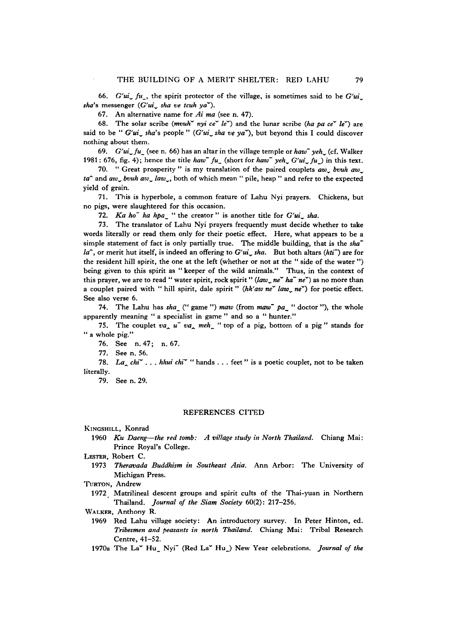66. *G'ui*,  $fu_n$ , the spirit protector of the village, is sometimes said to be  $G'ui_n$ sha's messenger *(G'ui*, sha ve tcuh ya $\checkmark$ ).

67. An alternative name for *Ai ma* (see n. 47).

68. The solar scribe *(mvuh<sup>x</sup> nyi ce<sup>x</sup> le<sup>x</sup>)* and the lunar scribe *(ha pa ce<sup>x</sup> le<sup>x</sup>)* are said to be "  $G'ui$  sha's people "  $(G'ui$  sha ve ya"), but beyond this I could discover nothing about them.

69. *G^ui^fu^* (see n. 66) has an altar in the village temple or *haw~ yeh^* (cf. Walker 1981: 676, fig. 4); hence the title *haw*<sup> $f$ </sup> fu<sub>n</sub> (short for *haw* yeh<sub> $\sim$ </sub> G'ui<sub>,</sub> fu<sub>n</sub>) in this text.

70. " Great prosperity " is my translation of the paired couplets  $aw$  bvuh aw *ta*<sup> $\alpha$ </sup> and *aw<sub>v</sub> bvuh avv<sub>s</sub> law<sub>v</sub>*, both of which mean " pile, heap " and refer to the expected yield of grain.

71. This is hyperbole, a common feature of Lahu Nyi prayers. Chickens, but no pigs, were slaughtered for this occasion.

72. *Ka ho ka hpa\_* " the creator" is another title for *G'ui\_ sha.* 

73. The translator of Lahu Nyi prayers frequently must decide whether to take words literally or read them only for their poetic effect. Here, what appears to be a simple statement of fact is only partially true. The middle building, that is the *sha*<sup>-</sup>  $la^{\hat{}}$ , or merit hut itself, is indeed an offering to *G'ui*<sub>1</sub> sha. But both altars (hti<sup>-</sup>) are for the resident hill spirit, the one at the left (whether or not at the " side of the water ") being given to this spirit as " keeper of the wild animals." Thus, in the context of this prayer, we are to read " water spirit, rock spirit " *(law<sub>)</sub> ne*<sup>\*</sup> ha<sup>-</sup> ne<sup>\*</sup>) as no more than a couplet paired with " hill spirit, dale spirit " *(hk'aw ne*<sup>y</sup> law, ne<sup>y</sup>) for poetic effect. See also verse 6.

74. The Lahu has sha\_ (" game ") maw (from maw<sup>-</sup> pa\_ " doctor "), the whole apparently meaning " a specialist in game " and so a " hunter."

75. The couplet  $va_a u^{\dagger} va_a$  meh<sub>a</sub> " top of a pig, bottom of a pig" stands for " a whole pig."

76. See n. 47; ,67.

77. See n. 56.

78. *La<sub>n</sub> chi* ... *hkui chi* " hands ... feet " is a poetic couplet, not to be taken literally.

79. See n, 29,

#### REFERENCES CITED

KINGSHILL, Konrad

1960 *K u Daeng— the red tomb: A village study in North Thailand.* Chiang Mai: Prince Royal's College.

LESTER, Robert C.

1973 *Theravada Buddhism in Southeast Asia.* Ann Arbor: The University of Michigan Press.

TURTON, Andrew

1972 Matrilineal descent groups and spirit cults of the Thai-yuan in Northern Thailand. *Journal of the Siam Society* 60(2): 217-256.

WALKER, Anthony R.

1969 Red Lahu village society: An introductory survey. In Peter Hinton, ed. *Tribesmen and peasants in north Thailand.* Chiang Mai: Tribal Research Centre, 41-52.

1970a The Lav Hu\_ Nyi" (Red Lav Hu\_) New Year celebrations. *Journal of the*